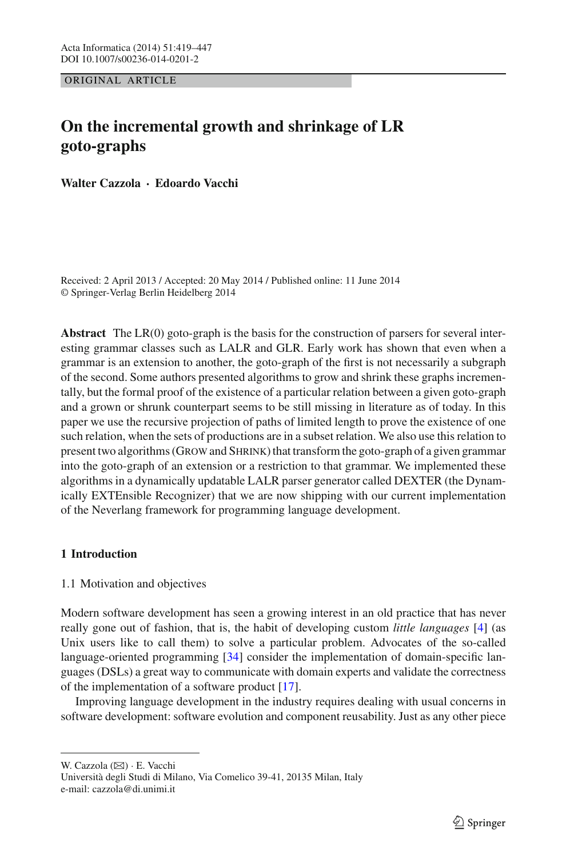ORIGINAL ARTICLE

# **On the incremental growth and shrinkage of LR goto-graphs**

**Walter Cazzola · Edoardo Vacchi**

Received: 2 April 2013 / Accepted: 20 May 2014 / Published online: 11 June 2014 © Springer-Verlag Berlin Heidelberg 2014

**Abstract** The LR(0) goto-graph is the basis for the construction of parsers for several interesting grammar classes such as LALR and GLR. Early work has shown that even when a grammar is an extension to another, the goto-graph of the first is not necessarily a subgraph of the second. Some authors presented algorithms to grow and shrink these graphs incrementally, but the formal proof of the existence of a particular relation between a given goto-graph and a grown or shrunk counterpart seems to be still missing in literature as of today. In this paper we use the recursive projection of paths of limited length to prove the existence of one such relation, when the sets of productions are in a subset relation. We also use this relation to present two algorithms (GROW and SHRINK) that transform the goto-graph of a given grammar into the goto-graph of an extension or a restriction to that grammar. We implemented these algorithms in a dynamically updatable LALR parser generator called DEXTER (the Dynamically EXTEnsible Recognizer) that we are now shipping with our current implementation of the Neverlang framework for programming language development.

# <span id="page-0-0"></span>**1 Introduction**

# 1.1 Motivation and objectives

Modern software development has seen a growing interest in an old practice that has never really gone out of fashion, that is, the habit of developing custom *little languages* [\[4\]](#page-27-0) (as Unix users like to call them) to solve a particular problem. Advocates of the so-called language-oriented programming [\[34\]](#page-28-0) consider the implementation of domain-specific languages (DSLs) a great way to communicate with domain experts and validate the correctness of the implementation of a software product [\[17\]](#page-28-1).

Improving language development in the industry requires dealing with usual concerns in software development: software evolution and component reusability. Just as any other piece

W. Cazzola ( $\boxtimes$ ) · E. Vacchi Università degli Studi di Milano, Via Comelico 39-41, 20135 Milan, Italy e-mail: cazzola@di.unimi.it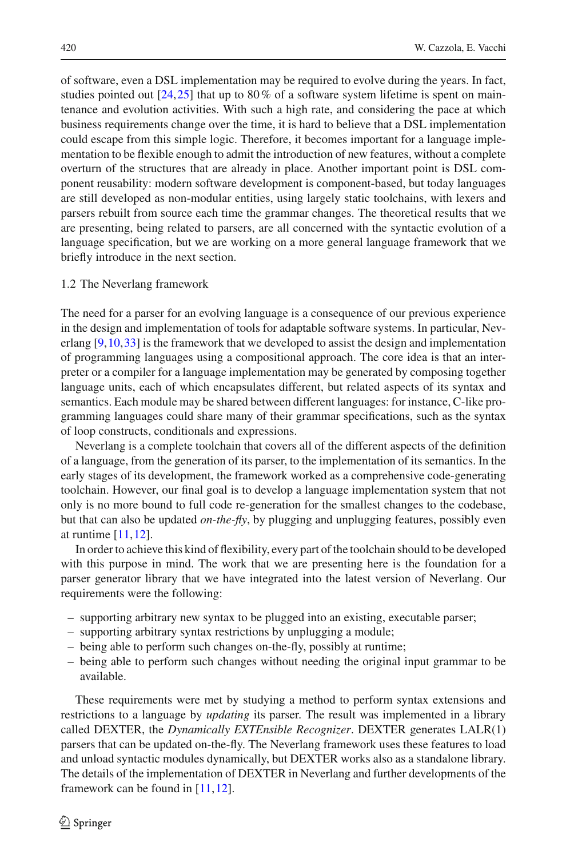of software, even a DSL implementation may be required to evolve during the years. In fact, studies pointed out  $[24,25]$  $[24,25]$  $[24,25]$  that up to 80% of a software system lifetime is spent on maintenance and evolution activities. With such a high rate, and considering the pace at which business requirements change over the time, it is hard to believe that a DSL implementation could escape from this simple logic. Therefore, it becomes important for a language implementation to be flexible enough to admit the introduction of new features, without a complete overturn of the structures that are already in place. Another important point is DSL component reusability: modern software development is component-based, but today languages are still developed as non-modular entities, using largely static toolchains, with lexers and parsers rebuilt from source each time the grammar changes. The theoretical results that we are presenting, being related to parsers, are all concerned with the syntactic evolution of a language specification, but we are working on a more general language framework that we briefly introduce in the next section.

#### 1.2 The Neverlang framework

The need for a parser for an evolving language is a consequence of our previous experience in the design and implementation of tools for adaptable software systems. In particular, Neverlang  $[9,10,33]$  $[9,10,33]$  $[9,10,33]$  is the framework that we developed to assist the design and implementation of programming languages using a compositional approach. The core idea is that an interpreter or a compiler for a language implementation may be generated by composing together language units, each of which encapsulates different, but related aspects of its syntax and semantics. Each module may be shared between different languages: for instance, C-like programming languages could share many of their grammar specifications, such as the syntax of loop constructs, conditionals and expressions.

Neverlang is a complete toolchain that covers all of the different aspects of the definition of a language, from the generation of its parser, to the implementation of its semantics. In the early stages of its development, the framework worked as a comprehensive code-generating toolchain. However, our final goal is to develop a language implementation system that not only is no more bound to full code re-generation for the smallest changes to the codebase, but that can also be updated *on-the-fly*, by plugging and unplugging features, possibly even at runtime [\[11](#page-27-3)[,12](#page-27-4)].

In order to achieve this kind of flexibility, every part of the toolchain should to be developed with this purpose in mind. The work that we are presenting here is the foundation for a parser generator library that we have integrated into the latest version of Neverlang. Our requirements were the following:

- supporting arbitrary new syntax to be plugged into an existing, executable parser;
- supporting arbitrary syntax restrictions by unplugging a module;
- being able to perform such changes on-the-fly, possibly at runtime;
- being able to perform such changes without needing the original input grammar to be available.

These requirements were met by studying a method to perform syntax extensions and restrictions to a language by *updating* its parser. The result was implemented in a library called DEXTER, the *Dynamically EXTEnsible Recognizer*. DEXTER generates LALR(1) parsers that can be updated on-the-fly. The Neverlang framework uses these features to load and unload syntactic modules dynamically, but DEXTER works also as a standalone library. The details of the implementation of DEXTER in Neverlang and further developments of the framework can be found in [\[11](#page-27-3)[,12\]](#page-27-4).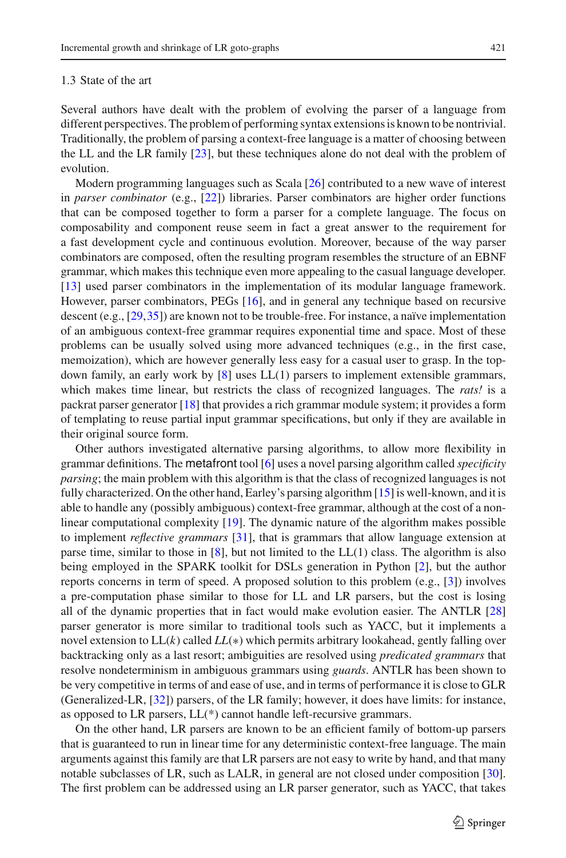#### 1.3 State of the art

Several authors have dealt with the problem of evolving the parser of a language from different perspectives. The problem of performing syntax extensions is known to be nontrivial. Traditionally, the problem of parsing a context-free language is a matter of choosing between the LL and the LR family [\[23\]](#page-28-5), but these techniques alone do not deal with the problem of evolution.

Modern programming languages such as Scala [\[26](#page-28-6)] contributed to a new wave of interest in *parser combinator* (e.g., [\[22\]](#page-28-7)) libraries. Parser combinators are higher order functions that can be composed together to form a parser for a complete language. The focus on composability and component reuse seem in fact a great answer to the requirement for a fast development cycle and continuous evolution. Moreover, because of the way parser combinators are composed, often the resulting program resembles the structure of an EBNF grammar, which makes this technique even more appealing to the casual language developer. [\[13\]](#page-27-5) used parser combinators in the implementation of its modular language framework. However, parser combinators, PEGs [\[16\]](#page-27-6), and in general any technique based on recursive descent (e.g., [\[29](#page-28-8)[,35\]](#page-28-9)) are known not to be trouble-free. For instance, a naïve implementation of an ambiguous context-free grammar requires exponential time and space. Most of these problems can be usually solved using more advanced techniques (e.g., in the first case, memoization), which are however generally less easy for a casual user to grasp. In the topdown family, an early work by [\[8\]](#page-27-7) uses LL(1) parsers to implement extensible grammars, which makes time linear, but restricts the class of recognized languages. The *rats!* is a packrat parser generator [\[18](#page-28-10)] that provides a rich grammar module system; it provides a form of templating to reuse partial input grammar specifications, but only if they are available in their original source form.

Other authors investigated alternative parsing algorithms, to allow more flexibility in grammar definitions. The metafront tool [\[6](#page-27-8)] uses a novel parsing algorithm called *specificity parsing*; the main problem with this algorithm is that the class of recognized languages is not fully characterized. On the other hand, Earley's parsing algorithm [\[15](#page-27-9)] is well-known, and it is able to handle any (possibly ambiguous) context-free grammar, although at the cost of a nonlinear computational complexity [\[19](#page-28-11)]. The dynamic nature of the algorithm makes possible to implement *reflective grammars* [\[31\]](#page-28-12), that is grammars that allow language extension at parse time, similar to those in  $[8]$  $[8]$ , but not limited to the LL $(1)$  class. The algorithm is also being employed in the SPARK toolkit for DSLs generation in Python [\[2](#page-27-10)], but the author reports concerns in term of speed. A proposed solution to this problem (e.g., [\[3](#page-27-11)]) involves a pre-computation phase similar to those for LL and LR parsers, but the cost is losing all of the dynamic properties that in fact would make evolution easier. The ANTLR [\[28\]](#page-28-13) parser generator is more similar to traditional tools such as YACC, but it implements a novel extension to LL(*k*) called *LL*(∗) which permits arbitrary lookahead, gently falling over backtracking only as a last resort; ambiguities are resolved using *predicated grammars* that resolve nondeterminism in ambiguous grammars using *guards*. ANTLR has been shown to be very competitive in terms of and ease of use, and in terms of performance it is close to GLR (Generalized-LR, [\[32\]](#page-28-14)) parsers, of the LR family; however, it does have limits: for instance, as opposed to LR parsers, LL(\*) cannot handle left-recursive grammars.

On the other hand, LR parsers are known to be an efficient family of bottom-up parsers that is guaranteed to run in linear time for any deterministic context-free language. The main arguments against this family are that LR parsers are not easy to write by hand, and that many notable subclasses of LR, such as LALR, in general are not closed under composition [\[30\]](#page-28-15). The first problem can be addressed using an LR parser generator, such as YACC, that takes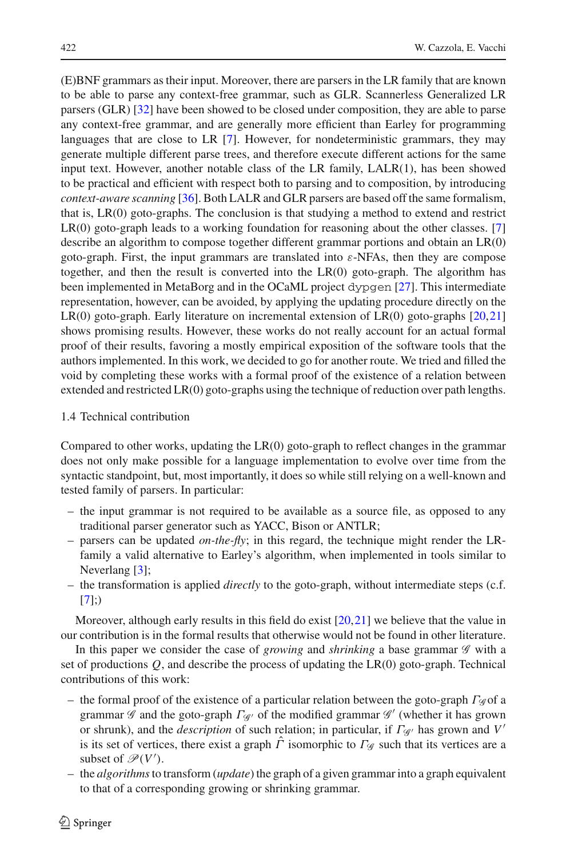(E)BNF grammars as their input. Moreover, there are parsers in the LR family that are known to be able to parse any context-free grammar, such as GLR. Scannerless Generalized LR parsers (GLR) [\[32](#page-28-14)] have been showed to be closed under composition, they are able to parse any context-free grammar, and are generally more efficient than Earley for programming languages that are close to LR [\[7\]](#page-27-12). However, for nondeterministic grammars, they may generate multiple different parse trees, and therefore execute different actions for the same input text. However, another notable class of the LR family, LALR(1), has been showed to be practical and efficient with respect both to parsing and to composition, by introducing *context-aware scanning* [\[36\]](#page-28-16). Both LALR and GLR parsers are based off the same formalism, that is, LR(0) goto-graphs. The conclusion is that studying a method to extend and restrict LR(0) goto-graph leads to a working foundation for reasoning about the other classes. [\[7\]](#page-27-12) describe an algorithm to compose together different grammar portions and obtain an LR(0) goto-graph. First, the input grammars are translated into  $\varepsilon$ -NFAs, then they are compose together, and then the result is converted into the LR(0) goto-graph. The algorithm has been implemented in MetaBorg and in the OCaML project dypgen [\[27](#page-28-17)]. This intermediate representation, however, can be avoided, by applying the updating procedure directly on the LR(0) goto-graph. Early literature on incremental extension of LR(0) goto-graphs [\[20](#page-28-18)[,21\]](#page-28-19) shows promising results. However, these works do not really account for an actual formal proof of their results, favoring a mostly empirical exposition of the software tools that the authors implemented. In this work, we decided to go for another route. We tried and filled the void by completing these works with a formal proof of the existence of a relation between extended and restricted LR(0) goto-graphs using the technique of reduction over path lengths.

# 1.4 Technical contribution

Compared to other works, updating the LR(0) goto-graph to reflect changes in the grammar does not only make possible for a language implementation to evolve over time from the syntactic standpoint, but, most importantly, it does so while still relying on a well-known and tested family of parsers. In particular:

- the input grammar is not required to be available as a source file, as opposed to any traditional parser generator such as YACC, Bison or ANTLR;
- parsers can be updated *on-the-fly*; in this regard, the technique might render the LRfamily a valid alternative to Earley's algorithm, when implemented in tools similar to Neverlang [\[3](#page-27-11)];
- the transformation is applied *directly* to the goto-graph, without intermediate steps (c.f.  $[7]$  $[7]$ ;)

Moreover, although early results in this field do exist  $[20,21]$  $[20,21]$  we believe that the value in our contribution is in the formal results that otherwise would not be found in other literature.

In this paper we consider the case of *growing* and *shrinking* a base grammar *G* with a set of productions *Q*, and describe the process of updating the LR(0) goto-graph. Technical contributions of this work:

- the formal proof of the existence of a particular relation between the goto-graph  $\Gamma_{\mathscr{G}}$  of a grammar *<sup>G</sup>* and the goto-graph Γ*<sup>G</sup>* of the modified grammar *<sup>G</sup>* (whether it has grown or shrunk), and the *description* of such relation; in particular, if Γ*<sup>G</sup>* has grown and *V* is its set of vertices, there exist a graph  $\hat{\Gamma}$  isomorphic to  $\Gamma_{\mathscr{G}}$  such that its vertices are a subset of  $\mathcal{P}(V')$ .
- the *algorithms*to transform (*update*) the graph of a given grammar into a graph equivalent to that of a corresponding growing or shrinking grammar.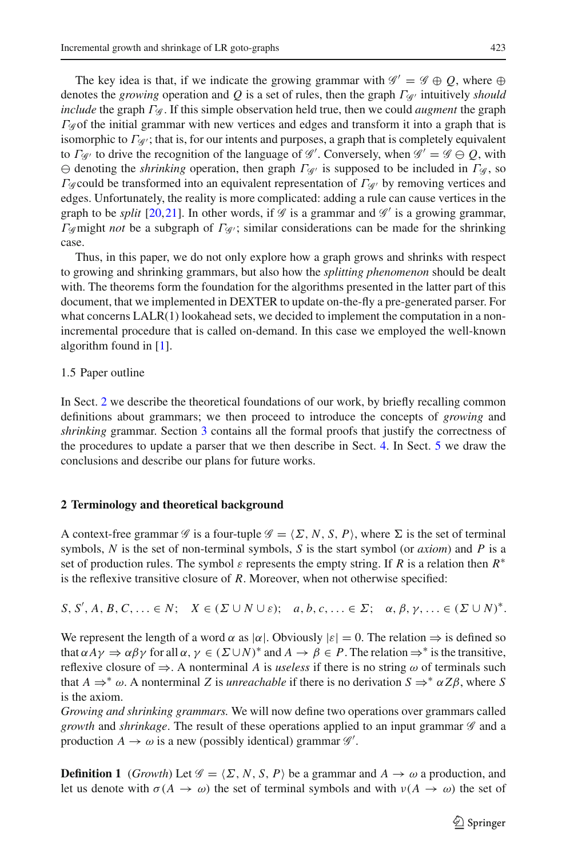The key idea is that, if we indicate the growing grammar with  $\mathscr{G}' = \mathscr{G} \oplus Q$ , where  $\oplus$ denotes the *growing* operation and *Q* is a set of rules, then the graph Γ*<sup>G</sup>* intuitively *should include* the graph Γ*<sup>G</sup>* . If this simple observation held true, then we could *augment* the graph Γ*<sup>G</sup>* of the initial grammar with new vertices and edges and transform it into a graph that is isomorphic to  $\Gamma_{\mathscr{G}}$ ; that is, for our intents and purposes, a graph that is completely equivalent to  $\Gamma_{\mathscr{G}}$  to drive the recognition of the language of  $\mathscr{G}'$ . Conversely, when  $\mathscr{G}' = \mathscr{G} \ominus Q$ , with denoting the *shrinking* operation, then graph Γ*<sup>G</sup>* is supposed to be included in Γ*<sup>G</sup>* , so Γ*<sup>G</sup>* could be transformed into an equivalent representation of Γ*<sup>G</sup>* by removing vertices and edges. Unfortunately, the reality is more complicated: adding a rule can cause vertices in the graph to be *split* [\[20](#page-28-18)[,21\]](#page-28-19). In other words, if  $\mathscr G$  is a grammar and  $\mathscr G'$  is a growing grammar, Γ*<sup>G</sup>* might *not* be a subgraph of Γ*<sup>G</sup>* ; similar considerations can be made for the shrinking case.

Thus, in this paper, we do not only explore how a graph grows and shrinks with respect to growing and shrinking grammars, but also how the *splitting phenomenon* should be dealt with. The theorems form the foundation for the algorithms presented in the latter part of this document, that we implemented in DEXTER to update on-the-fly a pre-generated parser. For what concerns LALR(1) lookahead sets, we decided to implement the computation in a nonincremental procedure that is called on-demand. In this case we employed the well-known algorithm found in [\[1](#page-27-13)].

#### 1.5 Paper outline

In Sect. [2](#page-4-0) we describe the theoretical foundations of our work, by briefly recalling common definitions about grammars; we then proceed to introduce the concepts of *growing* and *shrinking* grammar. Section [3](#page-9-0) contains all the formal proofs that justify the correctness of the procedures to update a parser that we then describe in Sect. [4.](#page-20-0) In Sect. [5](#page-26-0) we draw the conclusions and describe our plans for future works.

#### <span id="page-4-0"></span>**2 Terminology and theoretical background**

A context-free grammar *G* is a four-tuple  $\mathcal{G} = \langle \Sigma, N, S, P \rangle$ , where  $\Sigma$  is the set of terminal symbols, *N* is the set of non-terminal symbols, *S* is the start symbol (or *axiom*) and *P* is a set of production rules. The symbol  $\varepsilon$  represents the empty string. If *R* is a relation then  $R^*$ is the reflexive transitive closure of *R*. Moreover, when not otherwise specified:

 $S, S', A, B, C, \ldots \in N; \quad X \in (\Sigma \cup N \cup \varepsilon); \quad a, b, c, \ldots \in \Sigma; \quad \alpha, \beta, \gamma, \ldots \in (\Sigma \cup N)^*$ .

We represent the length of a word  $\alpha$  as  $|\alpha|$ . Obviously  $|\varepsilon| = 0$ . The relation  $\Rightarrow$  is defined so that  $\alpha A\gamma \Rightarrow \alpha \beta \gamma$  for all  $\alpha, \gamma \in (\Sigma \cup N)^*$  and  $A \to \beta \in P$ . The relation  $\Rightarrow^*$  is the transitive, reflexive closure of  $\Rightarrow$ . A nonterminal *A* is *useless* if there is no string  $\omega$  of terminals such that  $A \Rightarrow^* \omega$ . A nonterminal *Z* is *unreachable* if there is no derivation  $S \Rightarrow^* \alpha Z\beta$ , where *S* is the axiom.

*Growing and shrinking grammars.* We will now define two operations over grammars called *growth* and *shrinkage*. The result of these operations applied to an input grammar *G* and a production  $A \to \omega$  is a new (possibly identical) grammar  $\mathscr{G}'$ .

**Definition 1** (*Growth*) Let  $\mathcal{G} = \{\Sigma, N, S, P\}$  be a grammar and  $A \rightarrow \omega$  a production, and let us denote with  $\sigma(A \to \omega)$  the set of terminal symbols and with  $\nu(A \to \omega)$  the set of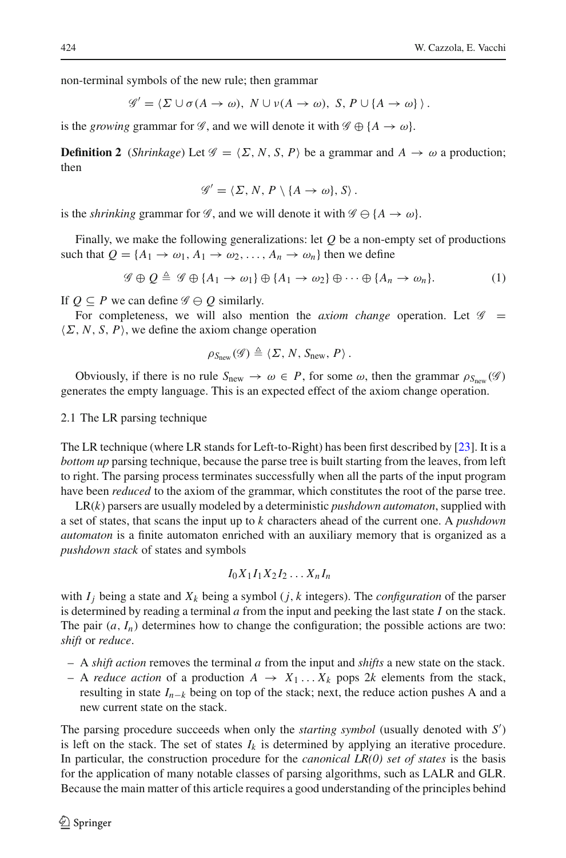non-terminal symbols of the new rule; then grammar

$$
\mathscr{G}' = \langle \Sigma \cup \sigma(A \to \omega), N \cup \nu(A \to \omega), S, P \cup \{A \to \omega\} \rangle.
$$

is the *growing* grammar for *G*, and we will denote it with  $\mathscr{G} \oplus \{A \to \omega\}$ .

**Definition 2** (*Shrinkage*) Let  $\mathcal{G} = \langle \Sigma, N, S, P \rangle$  be a grammar and  $A \rightarrow \omega$  a production; then

$$
\mathscr{G}' = \langle \Sigma, N, P \setminus \{A \to \omega\}, S \rangle.
$$

is the *shrinking* grammar for *G*, and we will denote it with  $G \oplus \{A \rightarrow \omega\}$ .

Finally, we make the following generalizations: let *Q* be a non-empty set of productions such that  $Q = \{A_1 \rightarrow \omega_1, A_1 \rightarrow \omega_2, \ldots, A_n \rightarrow \omega_n\}$  then we define

$$
\mathscr{G} \oplus Q \triangleq \mathscr{G} \oplus \{A_1 \to \omega_1\} \oplus \{A_1 \to \omega_2\} \oplus \cdots \oplus \{A_n \to \omega_n\}.
$$
 (1)

<span id="page-5-0"></span>If  $Q \subseteq P$  we can define  $\mathscr{G} \ominus Q$  similarly.

For completeness, we will also mention the *axiom change* operation. Let  $\mathscr G$  =  $\langle \Sigma, N, S, P \rangle$ , we define the axiom change operation

$$
\rho_{S_{\text{new}}}(\mathscr{G}) \triangleq \langle \Sigma, N, S_{\text{new}}, P \rangle.
$$

Obviously, if there is no rule  $S_{\text{new}} \to \omega \in P$ , for some  $\omega$ , then the grammar  $\rho_{S_{\text{new}}}(\mathscr{G})$ generates the empty language. This is an expected effect of the axiom change operation.

<span id="page-5-1"></span>2.1 The LR parsing technique

The LR technique (where LR stands for Left-to-Right) has been first described by [\[23\]](#page-28-5). It is a *bottom up* parsing technique, because the parse tree is built starting from the leaves, from left to right. The parsing process terminates successfully when all the parts of the input program have been *reduced* to the axiom of the grammar, which constitutes the root of the parse tree.

LR(*k*) parsers are usually modeled by a deterministic *pushdown automaton*, supplied with a set of states, that scans the input up to *k* characters ahead of the current one. A *pushdown automaton* is a finite automaton enriched with an auxiliary memory that is organized as a *pushdown stack* of states and symbols

$$
I_0X_1I_1X_2I_2\ldots X_nI_n
$$

with  $I_j$  being a state and  $X_k$  being a symbol (*j*, *k* integers). The *configuration* of the parser is determined by reading a terminal *a* from the input and peeking the last state *I* on the stack. The pair  $(a, I_n)$  determines how to change the configuration; the possible actions are two: *shift* or *reduce*.

- A *shift action* removes the terminal *a* from the input and *shifts* a new state on the stack.
- A *reduce action* of a production  $A \rightarrow X_1 \dots X_k$  pops 2k elements from the stack, resulting in state *In*<sup>−</sup>*<sup>k</sup>* being on top of the stack; next, the reduce action pushes A and a new current state on the stack.

The parsing procedure succeeds when only the *starting symbol* (usually denoted with *S* ) is left on the stack. The set of states  $I_k$  is determined by applying an iterative procedure. In particular, the construction procedure for the *canonical LR(0) set of states* is the basis for the application of many notable classes of parsing algorithms, such as LALR and GLR. Because the main matter of this article requires a good understanding of the principles behind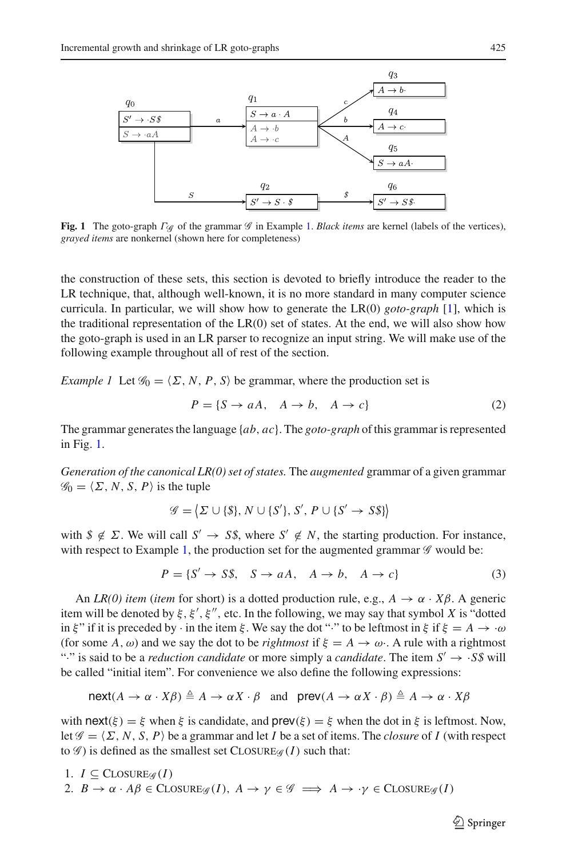

<span id="page-6-1"></span>**Fig. 1** The goto-graph Γ*<sup>G</sup>* of the grammar *G* in Example [1.](#page-6-0) *Black items* are kernel (labels of the vertices), *grayed items* are nonkernel (shown here for completeness)

the construction of these sets, this section is devoted to briefly introduce the reader to the LR technique, that, although well-known, it is no more standard in many computer science curricula. In particular, we will show how to generate the LR(0) *goto-graph* [\[1\]](#page-27-13), which is the traditional representation of the  $LR(0)$  set of states. At the end, we will also show how the goto-graph is used in an LR parser to recognize an input string. We will make use of the following example throughout all of rest of the section.

<span id="page-6-0"></span>*Example 1* Let  $\mathcal{G}_0 = \langle \Sigma, N, P, S \rangle$  be grammar, where the production set is

$$
P = \{S \to aA, \quad A \to b, \quad A \to c\}
$$
 (2)

The grammar generates the language {*ab*, *ac*}. The *goto-graph* of this grammar is represented in Fig. [1.](#page-6-1)

*Generation of the canonical LR(0) set of states.* The *augmented* grammar of a given grammar  $\mathscr{G}_0 = \langle \Sigma, N, S, P \rangle$  is the tuple

$$
\mathscr{G} = \langle \Sigma \cup \{\$\}, N \cup \{S'\}, S', P \cup \{S' \rightarrow S\$\} \rangle
$$

with  $\oint \notin \Sigma$ . We will call  $S' \to S\hat{S}$ , where  $S' \notin N$ , the starting production. For instance, with respect to Example [1,](#page-6-0) the production set for the augmented grammar  $\mathscr G$  would be:

$$
P = \{S' \to S\$, \quad S \to aA, \quad A \to b, \quad A \to c\} \tag{3}
$$

An *LR(0) item* (*item* for short) is a dotted production rule, e.g.,  $A \rightarrow \alpha \cdot X\beta$ . A generic item will be denoted by  $\xi$ ,  $\xi'$ ,  $\xi''$ , etc. In the following, we may say that symbol *X* is "dotted in ξ" if it is preceded by  $\cdot$  in the item ξ. We say the dot " $\cdot$ " to be leftmost in ξ if ξ =  $A \to \cdot \omega$ (for some A,  $\omega$ ) and we say the dot to be *rightmost* if  $\xi = A \rightarrow \omega$ . A rule with a rightmost ":" is said to be a *reduction candidate* or more simply a *candidate*. The item  $S' \rightarrow S\$  will be called "initial item". For convenience we also define the following expressions:

$$
\mathsf{next}(A \to \alpha \cdot X\beta) \triangleq A \to \alpha X \cdot \beta \quad \text{and} \quad \mathsf{prev}(A \to \alpha X \cdot \beta) \triangleq A \to \alpha \cdot X\beta
$$

with next( $\xi$ ) =  $\xi$  when  $\xi$  is candidate, and prev( $\xi$ ) =  $\xi$  when the dot in  $\xi$  is leftmost. Now, let  $\mathcal{G} = \langle \Sigma, N, S, P \rangle$  be a grammar and let *I* be a set of items. The *closure* of *I* (with respect to  $\mathscr G$ ) is defined as the smallest set CLOSURE $\mathscr G$  (*I*) such that:

\n- 1. 
$$
I \subseteq \text{CLOSURE}_{\mathcal{G}}(I)
$$
\n- 2.  $B \to \alpha \cdot A\beta \in \text{CLOSURE}_{\mathcal{G}}(I), A \to \gamma \in \mathcal{G} \implies A \to \gamma \in \text{CLOSURE}_{\mathcal{G}}(I)$
\n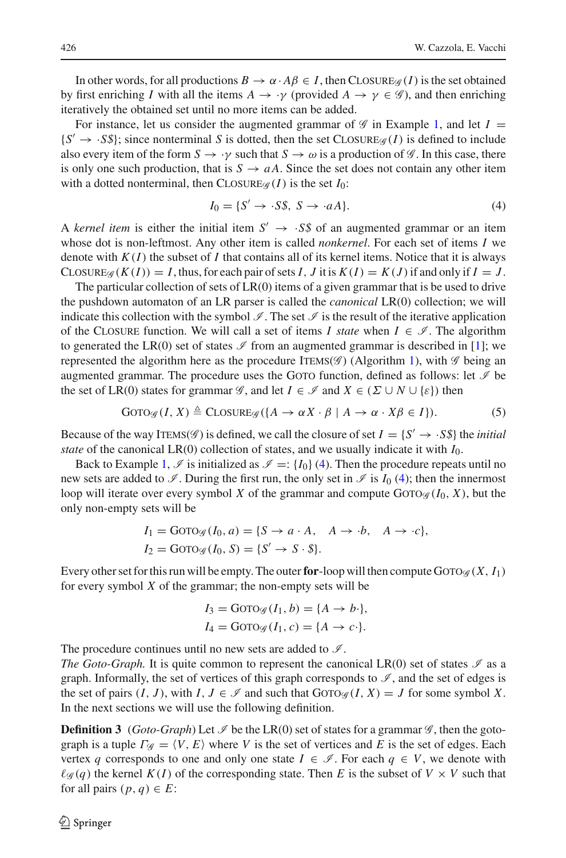In other words, for all productions  $B \to \alpha \cdot A\beta \in I$ , then CLOSURE<sub>*G*</sub> (*I*) is the set obtained by first enriching *I* with all the items  $A \to \gamma$  (provided  $A \to \gamma \in \mathscr{G}$ ), and then enriching iteratively the obtained set until no more items can be added.

For instance, let us consider the augmented grammar of  $\mathscr G$  in Example [1,](#page-6-0) and let  $I =$  ${S' \rightarrow S\$ ; since nonterminal *S* is dotted, then the set CLOSURE<sub>*G*</sub> (*I*) is defined to include also every item of the form  $S \to \gamma$  such that  $S \to \omega$  is a production of  $\mathscr{G}$ . In this case, there is only one such production, that is  $S \rightarrow aA$ . Since the set does not contain any other item with a dotted nonterminal, then  $C\text{LOSURE}_{\mathcal{G}}(I)$  is the set  $I_0$ :

$$
I_0 = \{S' \to \cdot S\$, S \to \cdot aA\}.
$$
\n<sup>(4)</sup>

<span id="page-7-0"></span>A *kernel item* is either the initial item  $S' \rightarrow S\$  of an augmented grammar or an item whose dot is non-leftmost. Any other item is called *nonkernel*. For each set of items *I* we denote with  $K(I)$  the subset of *I* that contains all of its kernel items. Notice that it is always CLOSURE $g(K(I)) = I$ , thus, for each pair of sets *I*, *J* it is  $K(I) = K(J)$  if and only if  $I = J$ .

The particular collection of sets of  $LR(0)$  items of a given grammar that is be used to drive the pushdown automaton of an LR parser is called the *canonical* LR(0) collection; we will indicate this collection with the symbol  $\mathcal{I}$ . The set  $\mathcal{I}$  is the result of the iterative application of the CLOSURE function. We will call a set of items *I state* when  $I \in \mathcal{I}$ . The algorithm to generated the LR(0) set of states  $\mathcal I$  from an augmented grammar is described in [\[1\]](#page-27-13); we represented the algorithm here as the procedure ITEMS( $\mathscr G$ ) (Algorithm [1\)](#page-8-0), with  $\mathscr G$  being an augmented grammar. The procedure uses the GOTO function, defined as follows: let  $\mathcal I$  be the set of LR(0) states for grammar *G*, and let  $I \in \mathscr{I}$  and  $X \in (\Sigma \cup N \cup \{\varepsilon\})$  then

$$
\text{GOTO}_{\mathscr{G}}(I, X) \triangleq \text{CLOSURE}_{\mathscr{G}}(\{A \to \alpha X \cdot \beta \mid A \to \alpha \cdot X\beta \in I\}).\tag{5}
$$

Because of the way ITEMS( $\mathscr{G}$ ) is defined, we call the closure of set  $I = \{S' \rightarrow S\}$  the *initial state* of the canonical LR(0) collection of states, and we usually indicate it with  $I_0$ .

Back to Example [1,](#page-6-0)  $\Im$  is initialized as  $\Im$  =: { $I_0$ } [\(4\)](#page-7-0). Then the procedure repeats until no new sets are added to  $\mathscr{I}$ . During the first run, the only set in  $\mathscr{I}$  is  $I_0$  [\(4\)](#page-7-0); then the innermost loop will iterate over every symbol *X* of the grammar and compute Goto<sub>G</sub> ( $I_0$ , *X*), but the only non-empty sets will be

$$
I_1 = \text{GOTO}_{\mathcal{G}}(I_0, a) = \{S \to a \cdot A, A \to \cdot b, A \to \cdot c\},
$$
  

$$
I_2 = \text{GOTO}_{\mathcal{G}}(I_0, S) = \{S' \to S \cdot \$}.
$$

Every other set for this run will be empty. The outer **for**-loop will then compute GOTO $\mathscr{G}(X, I_1)$ for every symbol *X* of the grammar; the non-empty sets will be

$$
I_3 = \text{GOTO}_{\mathcal{G}}(I_1, b) = \{A \to b\cdot\},
$$
  

$$
I_4 = \text{GOTO}_{\mathcal{G}}(I_1, c) = \{A \to c\cdot\}.
$$

The procedure continues until no new sets are added to  $\mathcal{I}$ .

*The Goto-Graph.* It is quite common to represent the canonical LR(0) set of states  $\mathcal{I}$  as a graph. Informally, the set of vertices of this graph corresponds to  $\mathscr{I}$ , and the set of edges is the set of pairs  $(I, J)$ , with  $I, J \in \mathcal{I}$  and such that Goro $\alpha \in (I, X) = J$  for some symbol X. In the next sections we will use the following definition.

<span id="page-7-1"></span>**Definition 3** (*Goto-Graph*) Let  $\mathcal{I}$  be the LR(0) set of states for a grammar  $\mathcal{G}$ , then the gotograph is a tuple  $\Gamma_{\mathcal{G}} = \langle V, E \rangle$  where *V* is the set of vertices and *E* is the set of edges. Each vertex *q* corresponds to one and only one state  $I \in \mathcal{I}$ . For each  $q \in V$ , we denote with  $\ell \mathscr{G}(q)$  the kernel  $K(I)$  of the corresponding state. Then *E* is the subset of  $V \times V$  such that for all pairs  $(p, q) \in E$ :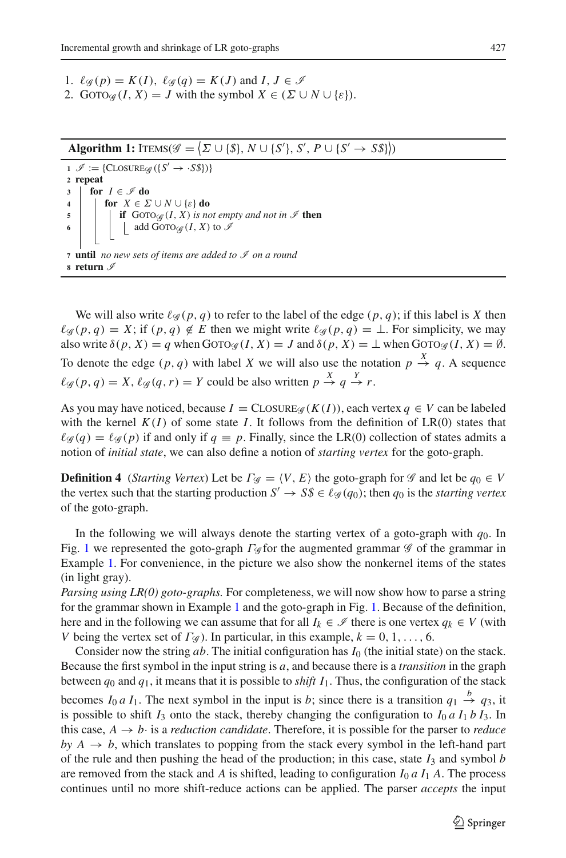- 1.  $\ell_{\mathscr{G}}(p) = K(I), \ \ell_{\mathscr{G}}(q) = K(J) \text{ and } I, J \in \mathscr{I}$
- 2. GOTO $\mathscr{G}(I, X) = J$  with the symbol  $X \in (\Sigma \cup N \cup \{\varepsilon\}).$

Algorithm 1:  $\text{IFIMS}(\mathscr{G} = \{\Sigma \cup \{\$\}, N \cup \{S'\}, S', P \cup \{S' \rightarrow S\$ \})$ 

<span id="page-8-0"></span> $1 \mathcal{I} := \{C \text{LOSURE}_{\mathcal{G}} (\{S' \rightarrow S \})\}$ **<sup>2</sup> repeat 3 for**  $I \in \mathcal{I}$  **do**<br>**4 for**  $X \in \Sigma$ **for**  $X \in \Sigma \cup N \cup \{\varepsilon\}$  **do 5 if**  $G$   $\text{GOTO}_{\mathscr{G}}(I, X)$  *is not empty and not in*  $\mathscr{I}$  **then**<br>**6 i**  $\downarrow$  **add**  $\text{GOTO}_{\mathscr{G}}(I, X)$  to  $\mathscr{I}$ add GOTO $\mathcal{G}(I, X)$  to  $\mathcal I$ **<sup>7</sup> until** *no new sets of items are added to I on a round* **<sup>8</sup> return** *I*

We will also write  $\ell_{\mathscr{A}}(p, q)$  to refer to the label of the edge  $(p, q)$ ; if this label is X then  $\ell_{\mathscr{G}}(p,q) = X$ ; if  $(p,q) \notin E$  then we might write  $\ell_{\mathscr{G}}(p,q) = \bot$ . For simplicity, we may also write  $\delta(p, X) = q$  when  $Gov(g(I, X)) = J$  and  $\delta(p, X) = \bot$  when  $Gov(g(I, X)) = \emptyset$ . To denote the edge  $(p, q)$  with label *X* we will also use the notation  $p \stackrel{X}{\rightarrow} q$ . A sequence  $\ell_{\mathscr{G}}(p,q) = X$ ,  $\ell_{\mathscr{G}}(q,r) = Y$  could be also written  $p \stackrel{X}{\rightarrow} q \stackrel{Y}{\rightarrow} r$ .

As you may have noticed, because  $I = \text{CLOSURE}_{\mathcal{G}}(K(I))$ , each vertex  $q \in V$  can be labeled with the kernel  $K(I)$  of some state *I*. It follows from the definition of  $LR(0)$  states that  $\ell_{\mathscr{G}}(q) = \ell_{\mathscr{G}}(p)$  if and only if  $q \equiv p$ . Finally, since the LR(0) collection of states admits a notion of *initial state*, we can also define a notion of *starting vertex* for the goto-graph.

<span id="page-8-1"></span>**Definition 4** (*Starting Vertex*) Let be  $\Gamma_{\mathscr{G}} = \langle V, E \rangle$  the goto-graph for  $\mathscr{G}$  and let be  $q_0 \in V$ the vertex such that the starting production  $S' \to S\$ mathcal{S} \in \ell\_{\mathscr{G}}(q\_0); then  $q_0$  is the *starting vertex* of the goto-graph.

In the following we will always denote the starting vertex of a goto-graph with  $q_0$ . In Fig. [1](#page-6-1) we represented the goto-graph Γ*<sup>G</sup>* for the augmented grammar *G* of the grammar in Example [1.](#page-6-0) For convenience, in the picture we also show the nonkernel items of the states (in light gray).

*Parsing using LR(0) goto-graphs.* For completeness, we will now show how to parse a string for the grammar shown in Example [1](#page-6-0) and the goto-graph in Fig. [1.](#page-6-1) Because of the definition, here and in the following we can assume that for all  $I_k \in \mathcal{I}$  there is one vertex  $q_k \in V$  (with *V* being the vertex set of  $\Gamma$ <sub>*G*</sub>). In particular, in this example,  $k = 0, 1, \ldots, 6$ .

Consider now the string *ab*. The initial configuration has *I*<sup>0</sup> (the initial state) on the stack. Because the first symbol in the input string is *a*, and because there is a *transition* in the graph between *q*<sup>0</sup> and *q*1, it means that it is possible to *shift I*1. Thus, the configuration of the stack becomes  $I_0 a I_1$ . The next symbol in the input is *b*; since there is a transition  $q_1 \stackrel{b}{\rightarrow} q_3$ , it is possible to shift  $I_3$  onto the stack, thereby changing the configuration to  $I_0$  *a*  $I_1$  *b*  $I_3$ . In this case,  $A \rightarrow b$  is a *reduction candidate*. Therefore, it is possible for the parser to *reduce*  $by A \rightarrow b$ , which translates to popping from the stack every symbol in the left-hand part of the rule and then pushing the head of the production; in this case, state  $I_3$  and symbol *b* are removed from the stack and *A* is shifted, leading to configuration  $I_0 a I_1 A$ . The process continues until no more shift-reduce actions can be applied. The parser *accepts* the input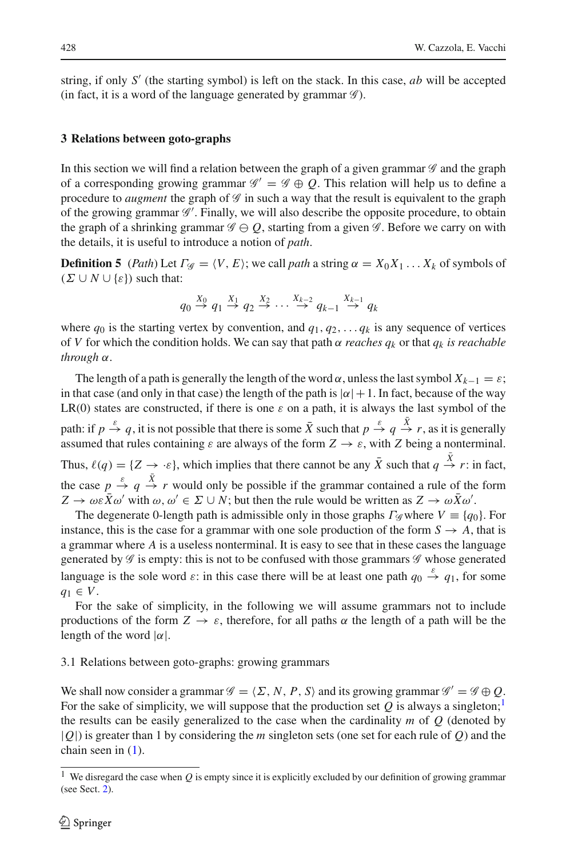string, if only  $S'$  (the starting symbol) is left on the stack. In this case,  $ab$  will be accepted (in fact, it is a word of the language generated by grammar *G* ).

## <span id="page-9-0"></span>**3 Relations between goto-graphs**

In this section we will find a relation between the graph of a given grammar *G* and the graph of a corresponding growing grammar  $\mathscr{G}' = \mathscr{G} \oplus Q$ . This relation will help us to define a procedure to *augment* the graph of *G* in such a way that the result is equivalent to the graph of the growing grammar  $\mathscr{G}'$ . Finally, we will also describe the opposite procedure, to obtain the graph of a shrinking grammar  $\mathscr{G} \ominus Q$ , starting from a given  $\mathscr{G}$ . Before we carry on with the details, it is useful to introduce a notion of *path*.

<span id="page-9-2"></span>**Definition 5** (*Path*) Let  $\Gamma_{\mathscr{G}} = \langle V, E \rangle$ ; we call *path* a string  $\alpha = X_0 X_1 \dots X_k$  of symbols of  $(\Sigma \cup N \cup {\epsilon})$  such that:

$$
q_0 \stackrel{X_0}{\rightarrow} q_1 \stackrel{X_1}{\rightarrow} q_2 \stackrel{X_2}{\rightarrow} \cdots \stackrel{X_{k-2}}{\rightarrow} q_{k-1} \stackrel{X_{k-1}}{\rightarrow} q_k
$$

where  $q_0$  is the starting vertex by convention, and  $q_1, q_2, \ldots, q_k$  is any sequence of vertices of *V* for which the condition holds. We can say that path  $\alpha$  *reaches*  $q_k$  or that  $q_k$  *is reachable through* α.

The length of a path is generally the length of the word  $\alpha$ , unless the last symbol  $X_{k-1} = \varepsilon$ ; in that case (and only in that case) the length of the path is  $|\alpha|+1$ . In fact, because of the way LR(0) states are constructed, if there is one  $\varepsilon$  on a path, it is always the last symbol of the path: if  $p \stackrel{\varepsilon}{\to} q$ , it is not possible that there is some  $\bar{X}$  such that  $p \stackrel{\varepsilon}{\to} q \stackrel{\bar{X}}{\to} r$ , as it is generally assumed that rules containing  $\varepsilon$  are always of the form  $Z \to \varepsilon$ , with *Z* being a nonterminal. Thus,  $\ell(q) = \{Z \to \infty\}$ , which implies that there cannot be any  $\bar{X}$  such that  $q \stackrel{\bar{X}}{\to} r$ : in fact, the case  $p \stackrel{\varepsilon}{\rightarrow} q \stackrel{\bar{X}}{\rightarrow} r$  would only be possible if the grammar contained a rule of the form  $Z \to \omega \varepsilon \bar{X} \omega'$  with  $\omega, \omega' \in \Sigma \cup N$ ; but then the rule would be written as  $Z \to \omega \bar{X} \omega'$ .

The degenerate 0-length path is admissible only in those graphs  $\Gamma$ <sub>*G*</sub> where  $V \equiv \{q_0\}$ . For instance, this is the case for a grammar with one sole production of the form  $S \to A$ , that is a grammar where *A* is a useless nonterminal. It is easy to see that in these cases the language generated by *G* is empty: this is not to be confused with those grammars *G* whose generated language is the sole word  $\varepsilon$ : in this case there will be at least one path  $q_0 \stackrel{\varepsilon}{\rightarrow} q_1$ , for some *q*<sup>1</sup> ∈ *V*.

For the sake of simplicity, in the following we will assume grammars not to include productions of the form  $Z \to \varepsilon$ , therefore, for all paths  $\alpha$  the length of a path will be the length of the word  $|\alpha|$ .

## <span id="page-9-3"></span>3.1 Relations between goto-graphs: growing grammars

We shall now consider a grammar  $\mathcal{G} = \langle \Sigma, N, P, S \rangle$  and its growing grammar  $\mathcal{G}' = \mathcal{G} \oplus Q$ . For the sake of simplicity, we will suppose that the production set  $Q$  is always a singleton;<sup>[1](#page-9-1)</sup> the results can be easily generalized to the case when the cardinality *m* of *Q* (denoted by |*Q*|) is greater than 1 by considering the *m* singleton sets (one set for each rule of *Q*) and the chain seen in [\(1\)](#page-5-0).

<span id="page-9-1"></span><sup>&</sup>lt;sup>1</sup> We disregard the case when  $Q$  is empty since it is explicitly excluded by our definition of growing grammar (see Sect. [2\)](#page-4-0).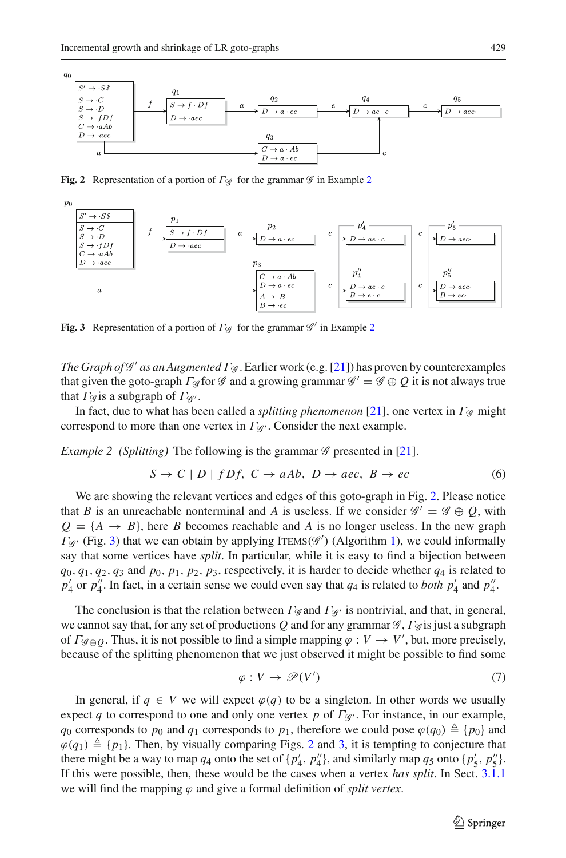

**Fig. 2** Representation of a portion of Γ*<sup>G</sup>* for the grammar *G* in Example [2](#page-10-0)

<span id="page-10-1"></span>

<span id="page-10-2"></span>**Fig. 3** Representation of a portion of <sup>Γ</sup>*<sup>G</sup>* for the grammar *<sup>G</sup>* in Example [2](#page-10-0)

*The Graph of G' as an Augmented Γ*  $G$ *.* Earlier work (e.g. [\[21\]](#page-28-19)) has proven by counterexamples that given the goto-graph  $\Gamma_{\mathscr{G}}$  for  $\mathscr{G}$  and a growing grammar  $\mathscr{G}' = \mathscr{G} \oplus Q$  it is not always true that  $\Gamma_{\mathscr{G}}$  is a subgraph of  $\Gamma_{\mathscr{G}}$ .

<span id="page-10-0"></span>In fact, due to what has been called a *splitting phenomenon* [\[21\]](#page-28-19), one vertex in Γ*<sup>G</sup>* might correspond to more than one vertex in  $\Gamma_{\mathcal{G}}$ . Consider the next example.

*Example 2 (Splitting)* The following is the grammar *G* presented in [\[21\]](#page-28-19).

$$
S \to C \mid D \mid fDf, \ C \to aAb, \ D \to aec, \ B \to ec \tag{6}
$$

We are showing the relevant vertices and edges of this goto-graph in Fig. [2.](#page-10-1) Please notice that *B* is an unreachable nonterminal and *A* is useless. If we consider  $\mathscr{G}' = \mathscr{G} \oplus Q$ , with  $Q = \{A \rightarrow B\}$ , here *B* becomes reachable and *A* is no longer useless. In the new graph Γ<sub>*G*</sub> (Fig. [3\)](#page-10-2) that we can obtain by applying ITEMS(*G*<sup>'</sup>) (Algorithm [1\)](#page-8-0), we could informally say that some vertices have *split*. In particular, while it is easy to find a bijection between  $q_0, q_1, q_2, q_3$  and  $p_0, p_1, p_2, p_3$ , respectively, it is harder to decide whether  $q_4$  is related to  $p'_4$  or  $p''_4$ . In fact, in a certain sense we could even say that  $q_4$  is related to *both*  $p'_4$  and  $p''_4$ .

The conclusion is that the relation between  $\Gamma_{\mathscr{G}}$  and  $\Gamma_{\mathscr{G}}$  is nontrivial, and that, in general, we cannot say that, for any set of productions *Q* and for any grammar *G* , Γ*<sup>G</sup>* is just a subgraph of  $\Gamma_{\mathscr{G}\oplus\mathcal{Q}}$ . Thus, it is not possible to find a simple mapping  $\varphi: V \to V'$ , but, more precisely, because of the splitting phenomenon that we just observed it might be possible to find some

$$
\varphi: V \to \mathcal{P}(V') \tag{7}
$$

In general, if  $q \in V$  we will expect  $\varphi(q)$  to be a singleton. In other words we usually expect *q* to correspond to one and only one vertex *p* of Γ*<sup>G</sup>* . For instance, in our example,  $q_0$  corresponds to  $p_0$  and  $q_1$  corresponds to  $p_1$ , therefore we could pose  $\varphi(q_0) \triangleq \{p_0\}$  and  $\varphi(q_1) \triangleq \{p_1\}$ . Then, by visually comparing Figs. [2](#page-10-1) and [3,](#page-10-2) it is tempting to conjecture that there might be a way to map  $q_4$  onto the set of  $\{p'_4, p''_4\}$ , and similarly map  $q_5$  onto  $\{p'_5, p''_5\}$ . If this were possible, then, these would be the cases when a vertex *has split*. In Sect. [3.1.1](#page-11-0) we will find the mapping  $\varphi$  and give a formal definition of *split vertex*.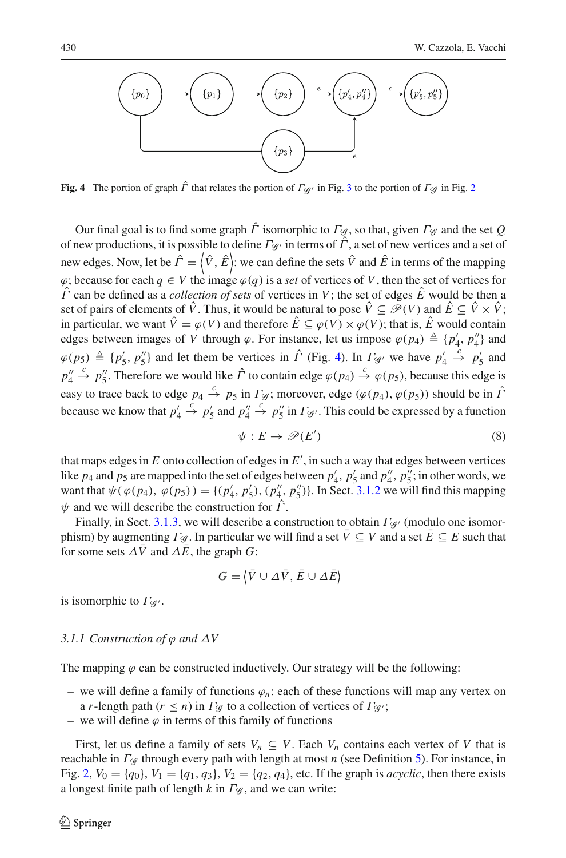

<span id="page-11-1"></span>**Fig. 4** The portion of graph  $\hat{\Gamma}$  that relates the portion of  $\Gamma_{\mathscr{A}}$  in Fig. [3](#page-10-2) to the portion of  $\Gamma_{\mathscr{G}}$  in Fig. [2](#page-10-1)

Our final goal is to find some graph  $\hat{\Gamma}$  isomorphic to  $\Gamma_{\mathscr{G}}$ , so that, given  $\Gamma_{\mathscr{G}}$  and the set Q of new productions, it is possible to define Γ<sub>*G*</sub> in terms of  $\hat{\Gamma}$ , a set of new vertices and a set of new edges. Now, let be  $\hat{\Gamma} = (\hat{V}, \hat{E})$ : we can define the sets  $\hat{V}$  and  $\hat{E}$  in terms of the mapping  $\varphi$ ; because for each  $q \in V$  the image  $\varphi(q)$  is a *set* of vertices of V, then the set of vertices for  $\hat{\Gamma}$  can be defined as a *collection of sets* of vertices in V; the set of edges  $\hat{E}$  would be then a set of pairs of elements of  $\hat{V}$ . Thus, it would be natural to pose  $\hat{V} \subseteq \mathcal{P}(V)$  and  $\hat{E} \subseteq \hat{V} \times \hat{V}$ ; in particular, we want  $\hat{V} = \varphi(V)$  and therefore  $\hat{E} \subseteq \varphi(V) \times \varphi(V)$ ; that is,  $\hat{E}$  would contain edges between images of *V* through  $\varphi$ . For instance, let us impose  $\varphi(p_4) \triangleq \{p'_4, p''_4\}$  and  $\varphi(p_5) \triangleq \{p'_5, p''_5\}$  and let them be vertices in  $\hat{\Gamma}$  (Fig. [4\)](#page-11-1). In  $\Gamma_{\mathscr{G}}$  we have  $p'_4$  $\stackrel{c}{\rightarrow}$  *p*'<sub>5</sub> and *p* 4  $\stackrel{c}{\rightarrow}$  *p*''. Therefore we would like  $\hat{\Gamma}$  to contain edge  $\varphi(p_4) \stackrel{c}{\rightarrow} \varphi(p_5)$ , because this edge is easy to trace back to edge  $p_4 \stackrel{c}{\rightarrow} p_5$  in  $\Gamma_{\mathscr{G}}$ ; moreover, edge ( $\varphi(p_4)$ ,  $\varphi(p_5)$ ) should be in  $\hat{\Gamma}$ because we know that *p* 4  $\stackrel{c}{\rightarrow}$  *p*'<sub>5</sub> and *p*''<sub>4</sub>  $\stackrel{c}{\rightarrow}$  *p*<sup>"</sup><sub>5</sub> in *Γ*<sub>'*G*</sub>'. This could be expressed by a function

$$
\psi: E \to \mathscr{P}(E') \tag{8}
$$

that maps edges in *E* onto collection of edges in *E* , in such a way that edges between vertices like  $p_4$  and  $p_5$  are mapped into the set of edges between  $p'_4$ ,  $p'_5$  and  $p''_4$ ,  $p''_5$ ; in other words, we want that  $\psi(\varphi(p_4), \varphi(p_5)) = \{(p'_4, p'_5), (p''_4, p''_5)\}$ . In Sect. [3.1.2](#page-14-0) we will find this mapping  $\psi$  and we will describe the construction for  $\hat{\Gamma}$ .

Finally, in Sect. [3.1.3,](#page-16-0) we will describe a construction to obtain  $\Gamma_{\mathscr{G}}$  (modulo one isomorphism) by augmenting  $\Gamma$ <sub>*G*</sub>. In particular we will find a set  $\overline{V} \subseteq V$  and a set  $\overline{E} \subseteq E$  such that for some sets  $\Delta \bar{V}$  and  $\Delta \bar{E}$ , the graph *G*:

$$
G = \langle \bar{V} \cup \Delta \bar{V}, \bar{E} \cup \Delta \bar{E} \rangle
$$

is isomorphic to  $\Gamma_{\mathscr{G}}$ .

#### <span id="page-11-0"></span>*3.1.1 Construction of*  $\varphi$  *and*  $\Delta V$

The mapping  $\varphi$  can be constructed inductively. Our strategy will be the following:

- we will define a family of functions  $\varphi_n$ : each of these functions will map any vertex on a *r*-length path ( $r \le n$ ) in  $\Gamma_{\mathscr{G}}$  to a collection of vertices of  $\Gamma_{\mathscr{G}}$ ;
- we will define  $\varphi$  in terms of this family of functions

First, let us define a family of sets  $V_n \subseteq V$ . Each  $V_n$  contains each vertex of V that is reachable in Γ*<sup>G</sup>* through every path with length at most *n* (see Definition [5\)](#page-9-2). For instance, in Fig. [2,](#page-10-1)  $V_0 = \{q_0\}$ ,  $V_1 = \{q_1, q_3\}$ ,  $V_2 = \{q_2, q_4\}$ , etc. If the graph is *acyclic*, then there exists a longest finite path of length *k* in Γ*<sup>G</sup>* , and we can write: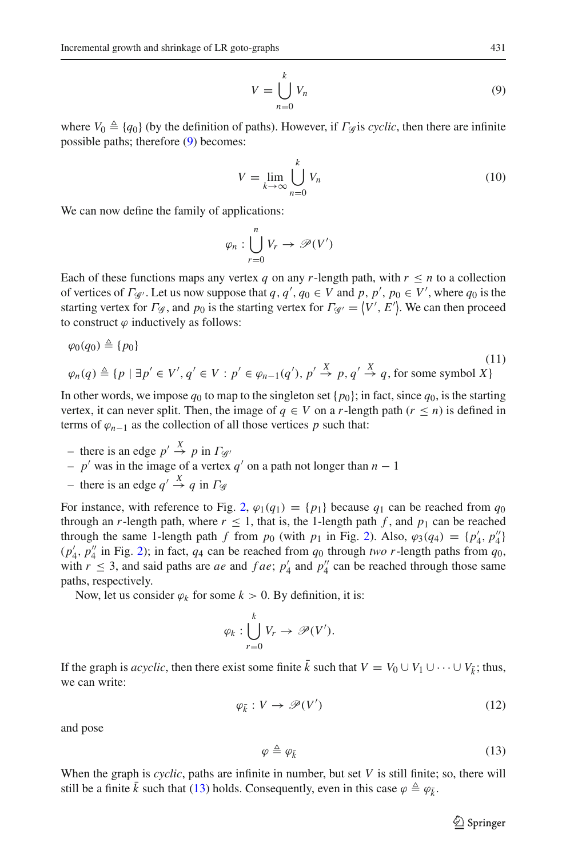<span id="page-12-0"></span>
$$
V = \bigcup_{n=0}^{k} V_n
$$
 (9)

where  $V_0 \triangleq \{q_0\}$  (by the definition of paths). However, if  $\Gamma_{\mathscr{G}}$  is *cyclic*, then there are infinite possible paths; therefore [\(9\)](#page-12-0) becomes:

$$
V = \lim_{k \to \infty} \bigcup_{n=0}^{k} V_n
$$
 (10)

We can now define the family of applications:

$$
\varphi_n : \bigcup_{r=0}^n V_r \to \mathscr{P}(V')
$$

Each of these functions maps any vertex *q* on any *r*-length path, with  $r \leq n$  to a collection of vertices of  $\Gamma_{\mathscr{G}}$ . Let us now suppose that  $q, q', q_0 \in V$  and  $p, p', p_0 \in V'$ , where  $q_0$  is the starting vertex for  $\Gamma_{\mathscr{G}}$ , and  $p_0$  is the starting vertex for  $\Gamma_{\mathscr{G}} = \langle V', E' \rangle$ . We can then proceed to construct  $\varphi$  inductively as follows:

$$
\varphi_0(q_0) \triangleq \{p_0\}
$$
  
\n
$$
\varphi_n(q) \triangleq \{p \mid \exists p' \in V', q' \in V : p' \in \varphi_{n-1}(q'), p' \stackrel{X}{\to} p, q' \stackrel{X}{\to} q, \text{ for some symbol } X\}
$$
\n(11)

<span id="page-12-2"></span>In other words, we impose  $q_0$  to map to the singleton set  $\{p_0\}$ ; in fact, since  $q_0$ , is the starting vertex, it can never split. Then, the image of  $q \in V$  on a *r*-length path  $(r \le n)$  is defined in terms of  $\varphi_{n-1}$  as the collection of all those vertices *p* such that:

- $-$  there is an edge  $p' \stackrel{X}{\rightarrow} p$  in  $\Gamma_{\mathscr{G}}$
- $-p'$  was in the image of a vertex  $q'$  on a path not longer than  $n-1$
- $-$  there is an edge  $q' \stackrel{X}{\rightarrow} q$  in  $\Gamma_{\mathscr{G}}$

For instance, with reference to Fig. [2,](#page-10-1)  $\varphi_1(q_1) = \{p_1\}$  because  $q_1$  can be reached from  $q_0$ through an *r*-length path, where  $r \le 1$ , that is, the 1-length path f, and  $p_1$  can be reached through the same 1-length path *f* from  $p_0$  (with  $p_1$  in Fig. [2\)](#page-10-1). Also,  $\varphi_3(q_4) = \{p'_4, p''_4\}$ (*p* <sup>4</sup>, *<sup>p</sup>* <sup>4</sup> in Fig. [2\)](#page-10-1); in fact, *q*<sup>4</sup> can be reached from *q*<sup>0</sup> through *two r*-length paths from *q*0, with  $r \leq 3$ , and said paths are *ae* and *fae*;  $p'_4$  and  $p''_4$  can be reached through those same paths, respectively.

Now, let us consider  $\varphi_k$  for some  $k > 0$ . By definition, it is:

$$
\varphi_k : \bigcup_{r=0}^k V_r \to \mathscr{P}(V').
$$

If the graph is *acyclic*, then there exist some finite  $\bar{k}$  such that  $V = V_0 \cup V_1 \cup \cdots \cup V_{\bar{k}}$ ; thus, we can write:

<span id="page-12-1"></span>
$$
\varphi_{\bar{k}}: V \to \mathscr{P}(V') \tag{12}
$$

and pose

<span id="page-12-3"></span>
$$
\varphi \triangleq \varphi_{\bar{k}} \tag{13}
$$

When the graph is *cyclic*, paths are infinite in number, but set *V* is still finite; so, there will still be a finite  $\bar{k}$  such that [\(13\)](#page-12-1) holds. Consequently, even in this case  $\varphi \triangleq \varphi_{\bar{k}}$ .

 $\circled{2}$  Springer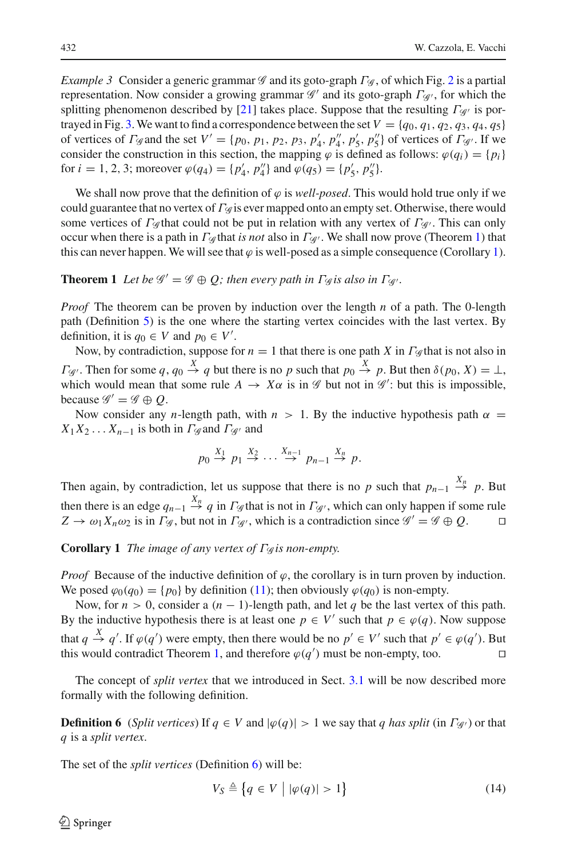*Example 3* Consider a generic grammar *G* and its goto-graph Γ<sub>*G*</sub>, of which Fig. [2](#page-10-1) is a partial representation. Now consider a growing grammar *G'* and its goto-graph  $\Gamma$ <sub>*G'*</sub>, for which the splitting phenomenon described by [\[21](#page-28-19)] takes place. Suppose that the resulting Γ<sub>*G*</sub> is por-trayed in Fig. [3.](#page-10-2) We want to find a correspondence between the set  $V = \{q_0, q_1, q_2, q_3, q_4, q_5\}$ of vertices of  $\Gamma$  *G* and the set  $V' = \{p_0, p_1, p_2, p_3, p'_4, p''_4, p'_5, p''_5\}$  of vertices of  $\Gamma$  *G'*. If we consider the construction in this section, the mapping  $\varphi$  is defined as follows:  $\varphi(q_i) = \{p_i\}$ for *i* = 1, 2, 3; moreover  $\varphi(q_4) = \{p'_4, p''_4\}$  and  $\varphi(q_5) = \{p'_5, p''_5\}.$ 

We shall now prove that the definition of  $\varphi$  is *well-posed*. This would hold true only if we could guarantee that no vertex of Γ*<sup>G</sup>* is ever mapped onto an empty set. Otherwise, there would some vertices of  $\Gamma_{\mathcal{G}}$  that could not be put in relation with any vertex of  $\Gamma_{\mathcal{G}}$ . This can only occur when there is a path in Γ*<sup>G</sup>* that *is not* also in Γ*<sup>G</sup>* . We shall now prove (Theorem [1\)](#page-13-0) that this can never happen. We will see that  $\varphi$  is well-posed as a simple consequence (Corollary [1\)](#page-13-1).

# <span id="page-13-0"></span>**Theorem 1** *Let be*  $\mathscr{G}' = \mathscr{G} \oplus Q$ ; *then every path in*  $\Gamma_{\mathscr{G}}$ *is also in*  $\Gamma_{\mathscr{G}}$ *.*

*Proof* The theorem can be proven by induction over the length *n* of a path. The 0-length path (Definition [5\)](#page-9-2) is the one where the starting vertex coincides with the last vertex. By definition, it is  $q_0 \in V$  and  $p_0 \in V'$ .

Now, by contradiction, suppose for  $n = 1$  that there is one path *X* in  $\Gamma_{\mathscr{G}}$  that is not also in *Γ*<sub>*G*</sub>. Then for some  $q, q_0 \stackrel{X}{\rightarrow} q$  but there is no *p* such that  $p_0 \stackrel{X}{\rightarrow} p$ . But then  $\delta(p_0, X) = \bot$ , which would mean that some rule  $A \to X\alpha$  is in  $\mathscr G$  but not in  $\mathscr G'$ : but this is impossible, because  $\mathscr{G}' = \mathscr{G} \oplus Q$ .

Now consider any *n*-length path, with  $n > 1$ . By the inductive hypothesis path  $\alpha$  $X_1X_2...X_{n-1}$  is both in  $\Gamma$  *G* and  $\Gamma$  *G* and

$$
p_0 \stackrel{X_1}{\rightarrow} p_1 \stackrel{X_2}{\rightarrow} \cdots \stackrel{X_{n-1}}{\rightarrow} p_{n-1} \stackrel{X_n}{\rightarrow} p.
$$

Then again, by contradiction, let us suppose that there is no *p* such that  $p_{n-1} \stackrel{X_n}{\rightarrow} p$ . But then there is an edge  $q_{n-1} \stackrel{X_n}{\rightarrow} q$  in  $\Gamma_{\mathscr{G}}$  that is not in  $\Gamma_{\mathscr{G}}$ , which can only happen if some rule  $Z \to \omega_1 X_n \omega_2$  is in  $\Gamma_{\mathscr{G}}$ , but not in  $\Gamma_{\mathscr{G}}$ , which is a contradiction since  $\mathscr{G}' = \mathscr{G} \oplus Q$ .

<span id="page-13-1"></span>**Corollary 1** *The image of any vertex of* Γ*<sup>G</sup> is non-empty.*

*Proof* Because of the inductive definition of  $\varphi$ , the corollary is in turn proven by induction. We posed  $\varphi_0(q_0) = \{p_0\}$  by definition [\(11\)](#page-12-2); then obviously  $\varphi(q_0)$  is non-empty.

Now, for  $n > 0$ , consider a  $(n - 1)$ -length path, and let q be the last vertex of this path. By the inductive hypothesis there is at least one  $p \in V'$  such that  $p \in \varphi(q)$ . Now suppose that  $q \stackrel{X}{\rightarrow} q'$ . If  $\varphi(q')$  were empty, then there would be no  $p' \in V'$  such that  $p' \in \varphi(q')$ . But this would contradict Theorem [1,](#page-13-0) and therefore  $\varphi(q')$  must be non-empty, too.

<span id="page-13-2"></span>The concept of *split vertex* that we introduced in Sect. [3.1](#page-9-3) will be now described more formally with the following definition.

**Definition 6** (*Split vertices*) If  $q \in V$  and  $|\varphi(q)| > 1$  we say that *q has split* (in  $\Gamma_{\mathscr{G}}$ ) or that *q* is a *split vertex*.

<span id="page-13-3"></span>The set of the *split vertices* (Definition [6\)](#page-13-2) will be:

$$
V_S \triangleq \{ q \in V \mid |\varphi(q)| > 1 \}
$$
 (14)

 $\mathcal{L}$  Springer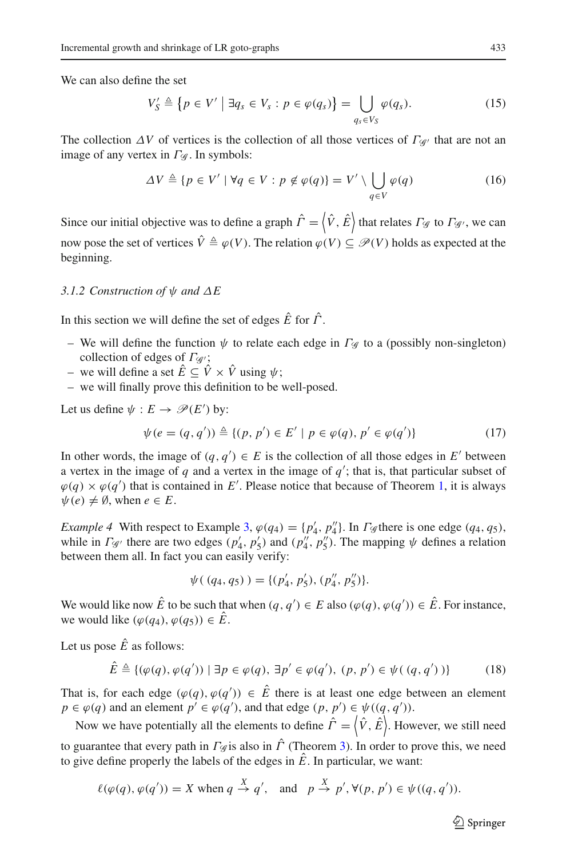We can also define the set

$$
V'_{S} \triangleq \{ p \in V' \mid \exists q_{s} \in V_{s} : p \in \varphi(q_{s}) \} = \bigcup_{q_{s} \in V_{S}} \varphi(q_{s}). \tag{15}
$$

The collection  $\Delta V$  of vertices is the collection of all those vertices of  $\Gamma_{\mathscr{G}}$  that are not an image of any vertex in Γ<sub>*G*</sub>. In symbols:

$$
\Delta V \triangleq \{ p \in V' \mid \forall q \in V : p \notin \varphi(q) \} = V' \setminus \bigcup_{q \in V} \varphi(q) \tag{16}
$$

Since our initial objective was to define a graph  $\hat{\Gamma} = \langle \hat{V}, \hat{E} \rangle$  that relates  $\Gamma_{\mathscr{G}}$  to  $\Gamma_{\mathscr{G}}$ , we can now pose the set of vertices  $\hat{V} \triangleq \varphi(V)$ . The relation  $\varphi(V) \subseteq \mathscr{P}(V)$  holds as expected at the beginning.

#### <span id="page-14-0"></span>*3.1.2 Construction of* ψ *and* Δ*E*

In this section we will define the set of edges *E*ˆ for Γˆ.

- We will define the function  $\psi$  to relate each edge in  $\Gamma_{\mathscr{G}}$  to a (possibly non-singleton) collection of edges of  $\Gamma_{\mathscr{A}}$ ;
- we will define a set  $\hat{E}$  ⊂  $\hat{V}$  ×  $\hat{V}$  using  $\psi$ ;
- we will finally prove this definition to be well-posed.

Let us define  $\psi : E \to \mathcal{P}(E')$  by:

$$
\psi(e = (q, q')) \triangleq \{(p, p') \in E' \mid p \in \varphi(q), p' \in \varphi(q')\}
$$
\n(17)

<span id="page-14-1"></span>In other words, the image of  $(q, q') \in E$  is the collection of all those edges in  $E'$  between a vertex in the image of  $q$  and a vertex in the image of  $q'$ ; that is, that particular subset of  $\varphi(q) \times \varphi(q')$  that is contained in E'. Please notice that because of Theorem [1,](#page-13-0) it is always  $\psi(e) \neq \emptyset$ , when  $e \in E$ .

*Example 4* With respect to Example [3,](#page-12-3)  $\varphi(q_4) = \{p'_4, p''_4\}$ . In *Γ* $\varphi$  there is one edge (*q*<sub>4</sub>, *q*<sub>5</sub>), while in  $\Gamma_{\mathscr{G}}$  there are two edges  $(p'_4, p'_5)$  and  $(p''_4, p''_5)$ . The mapping  $\psi$  defines a relation between them all. In fact you can easily verify:

$$
\psi((q_4, q_5)) = \{(p'_4, p'_5), (p''_4, p''_5)\}.
$$

We would like now  $\hat{E}$  to be such that when  $(q, q') \in E$  also  $(\varphi(q), \varphi(q')) \in \hat{E}$ . For instance, we would like  $(\varphi(q_4), \varphi(q_5)) \in \hat{E}$ .

Let us pose  $\hat{E}$  as follows:

$$
\hat{E} \triangleq \{ (\varphi(q), \varphi(q')) \mid \exists p \in \varphi(q), \exists p' \in \varphi(q'), (p, p') \in \psi((q, q')) \}
$$
(18)

<span id="page-14-2"></span>That is, for each edge  $(\varphi(q), \varphi(q')) \in \hat{E}$  there is at least one edge between an element  $p \in \varphi(q)$  and an element  $p' \in \varphi(q')$ , and that edge  $(p, p') \in \psi((q, q'))$ .

Now we have potentially all the elements to define  $\hat{\Gamma} = \langle \hat{V}, \hat{E} \rangle$ . However, we still need to guarantee that every path in  $\Gamma_{\mathscr{G}}$  is also in  $\hat{\Gamma}$  (Theorem [3\)](#page-15-0). In order to prove this, we need to give define properly the labels of the edges in  $\hat{E}$ . In particular, we want:

$$
\ell(\varphi(q), \varphi(q')) = X \text{ when } q \stackrel{X}{\to} q', \text{ and } p \stackrel{X}{\to} p', \forall (p, p') \in \psi((q, q')).
$$

 $\circled{2}$  Springer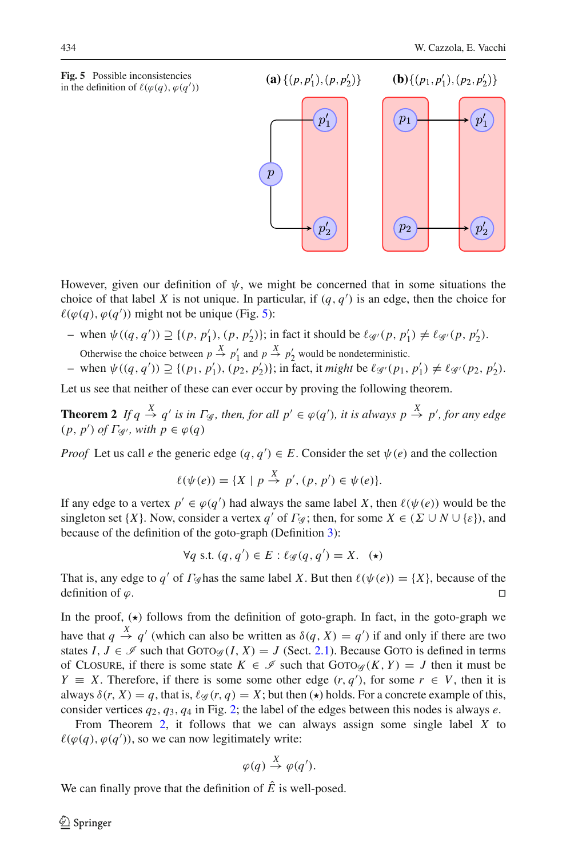<span id="page-15-1"></span>

**(a)**  $\{(p, p'_1), (p, p'_2)\}\$  **(b)**  $\{(p_1, p'_1), (p_2, p'_2)\}\$  $p_1$  $\overline{p}$  $p<sub>2</sub>$  $p_2'$  $p_2'$ 

However, given our definition of  $\psi$ , we might be concerned that in some situations the choice of that label *X* is not unique. In particular, if  $(q, q')$  is an edge, then the choice for  $\ell(\varphi(q), \varphi(q'))$  might not be unique (Fig. [5\)](#page-15-1):

- $-$  when  $\psi((q, q'))$  ≥ {(*p*, *p*<sup>1</sup><sub>1</sub>), (*p*, *p*<sup>2</sup><sub>2</sub>)}; in fact it should be  $\ell_{\mathscr{G}}(p, p'_1) \neq \ell_{\mathscr{G}}(p, p'_2)$ . Otherwise the choice between  $p \stackrel{X}{\rightarrow} p'_1$  and  $p \stackrel{X}{\rightarrow} p'_2$  would be nondeterministic.
- $-\text{ when } \psi((q, q')) \supseteq \{(p_1, p'_1), (p_2, p'_2)\}; \text{ in fact, it } might \text{ be } \ell_{\mathscr{G}}(p_1, p'_1) \neq \ell_{\mathscr{G}}(p_2, p'_2).$

Let us see that neither of these can ever occur by proving the following theorem.

**Theorem 2** If  $q \stackrel{X}{\rightarrow} q'$  is in  $\Gamma_{\mathscr{G}}$ , then, for all  $p' \in \varphi(q')$ , it is always  $p \stackrel{X}{\rightarrow} p'$ , for any edge  $(p, p')$  *of*  $\Gamma_{\mathscr{G}'},$  with  $p \in \varphi(q)$ 

*Proof* Let us call *e* the generic edge  $(q, q') \in E$ . Consider the set  $\psi(e)$  and the collection

<span id="page-15-2"></span>
$$
\ell(\psi(e)) = \{ X \mid p \stackrel{X}{\to} p', (p, p') \in \psi(e) \}.
$$

If any edge to a vertex  $p' \in \varphi(q')$  had always the same label *X*, then  $\ell(\psi(e))$  would be the singleton set {*X*}. Now, consider a vertex *q'* of  $\Gamma$ *g*; then, for some  $X \in (\Sigma \cup N \cup \{\varepsilon\})$ , and because of the definition of the goto-graph (Definition [3\)](#page-7-1):

$$
\forall q \text{ s.t. } (q, q') \in E: \ell_{\mathscr{G}}(q, q') = X. \quad (*)
$$

That is, any edge to *q'* of  $\Gamma_{\mathscr{G}}$  has the same label *X*. But then  $\ell(\psi(e)) = \{X\}$ , because of the definition of  $\varphi$ .

In the proof,  $(\star)$  follows from the definition of goto-graph. In fact, in the goto-graph we have that  $q \stackrel{X}{\rightarrow} q'$  (which can also be written as  $\delta(q, X) = q'$ ) if and only if there are two states  $I, J \in \mathcal{I}$  such that  $GOTO\mathcal{G}(I, X) = J$  (Sect. [2.1\)](#page-5-1). Because GOTO is defined in terms of CLOSURE, if there is some state  $K \in \mathscr{I}$  such that  $GOTO \in (K, Y) = J$  then it must be *Y*  $\equiv$  *X*. Therefore, if there is some some other edge  $(r, q')$ , for some  $r \in V$ , then it is always  $\delta(r, X) = q$ , that is,  $\ell_{\mathscr{G}}(r, q) = X$ ; but then  $(\star)$  holds. For a concrete example of this, consider vertices  $q_2$ ,  $q_3$ ,  $q_4$  in Fig. [2;](#page-10-1) the label of the edges between this nodes is always *e*.

From Theorem [2,](#page-15-2) it follows that we can always assign some single label *X* to  $\ell(\varphi(q), \varphi(q'))$ , so we can now legitimately write:

$$
\varphi(q) \stackrel{X}{\to} \varphi(q').
$$

<span id="page-15-0"></span>We can finally prove that the definition of  $\hat{E}$  is well-posed.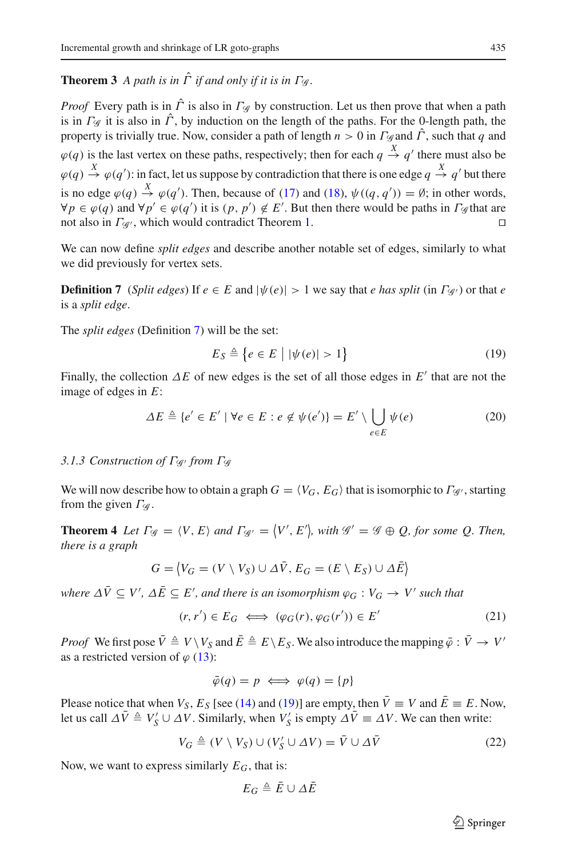# **Theorem 3** *A path is in*  $\hat{\Gamma}$  *if and only if it is in*  $\Gamma$ <sub>*i*</sub>.

*Proof* Every path is in  $\hat{\Gamma}$  is also in  $\Gamma$ <sub>*G*</sub> by construction. Let us then prove that when a path is in  $\Gamma_{\mathscr{G}}$  it is also in  $\hat{\Gamma}$ , by induction on the length of the paths. For the 0-length path, the property is trivially true. Now, consider a path of length  $n > 0$  in  $\Gamma_{\mathscr{G}}$  and  $\hat{\Gamma}$ , such that *q* and  $\varphi(q)$  is the last vertex on these paths, respectively; then for each  $q \stackrel{X}{\rightarrow} q'$  there must also be  $\varphi(q) \stackrel{X}{\to} \varphi(q')$ : in fact, let us suppose by contradiction that there is one edge  $q \stackrel{X}{\to} q'$  but there is no edge  $\varphi(q) \stackrel{X}{\to} \varphi(q')$ . Then, because of [\(17\)](#page-14-1) and [\(18\)](#page-14-2),  $\psi((q, q')) = \emptyset$ ; in other words,  $\forall p \in \varphi(q)$  and  $\forall p' \in \varphi(q')$  it is  $(p, p') \notin E'$ . But then there would be paths in  $\Gamma_{\mathscr{G}}$  that are not also in  $\Gamma_{\mathscr{G}}$ , which would contradict Theorem [1.](#page-13-0)

<span id="page-16-1"></span>We can now define *split edges* and describe another notable set of edges, similarly to what we did previously for vertex sets.

**Definition 7** (*Split edges*) If  $e \in E$  and  $|\psi(e)| > 1$  we say that *e has split* (in  $\Gamma_{\mathcal{A}}$ ) or that *e* is a *split edge*.

<span id="page-16-2"></span>The *split edges* (Definition [7\)](#page-16-1) will be the set:

$$
E_S \triangleq \{ e \in E \mid |\psi(e)| > 1 \}
$$
\n(19)

Finally, the collection  $\Delta E$  of new edges is the set of all those edges in  $E'$  that are not the image of edges in *E*:

$$
\Delta E \triangleq \{e' \in E' \mid \forall e \in E : e \notin \psi(e')\} = E' \setminus \bigcup_{e \in E} \psi(e)
$$
 (20)

#### <span id="page-16-0"></span>*3.1.3 Construction of* Γ*<sup>G</sup> from* Γ*<sup>G</sup>*

<span id="page-16-4"></span>We will now describe how to obtain a graph  $G = \langle V_G, E_G \rangle$  that is isomorphic to  $\Gamma_{\mathscr{G}}$ , starting from the given  $\Gamma_{\mathscr{G}}$ .

**Theorem 4** *Let*  $\Gamma_{\mathscr{G}} = \langle V, E \rangle$  *and*  $\Gamma_{\mathscr{G}} = \langle V', E' \rangle$ , with  $\mathscr{G}' = \mathscr{G} \oplus Q$ , for some Q. Then, *there is a graph*

$$
G = \langle V_G = (V \setminus V_S) \cup \Delta \bar{V}, E_G = (E \setminus E_S) \cup \Delta \bar{E} \rangle
$$

 $\forall x$   $\forall y$   $\in$   $V'$ ,  $\Delta \bar{E} \subseteq E'$ , and there is an isomorphism  $\varphi_G : V_G \to V'$  such that

$$
(r, r') \in E_G \iff (\varphi_G(r), \varphi_G(r')) \in E' \tag{21}
$$

<span id="page-16-3"></span>*Proof* We first pose  $\bar{V} \triangleq V \setminus V_S$  and  $\bar{E} \triangleq E \setminus E_S$ . We also introduce the mapping  $\bar{\varphi}: \bar{V} \to V'$ as a restricted version of  $\varphi$  [\(13\)](#page-12-1):

$$
\bar{\varphi}(q) = p \iff \varphi(q) = \{p\}
$$

Please notice that when  $V_S$ ,  $E_S$  [see [\(14\)](#page-13-3) and [\(19\)](#page-16-2)] are empty, then  $\bar{V} \equiv V$  and  $\bar{E} \equiv E$ . Now, let us call  $\Delta \bar{V} \triangleq V'_S \cup \Delta V$ . Similarly, when  $V'_S$  is empty  $\Delta \bar{V} \equiv \Delta V$ . We can then write:

$$
V_G \triangleq (V \setminus V_S) \cup (V'_S \cup \Delta V) = \bar{V} \cup \Delta \bar{V}
$$
 (22)

Now, we want to express similarly  $E_G$ , that is:

$$
E_G \triangleq \bar{E} \cup \varDelta \bar{E}
$$

 $\circled{2}$  Springer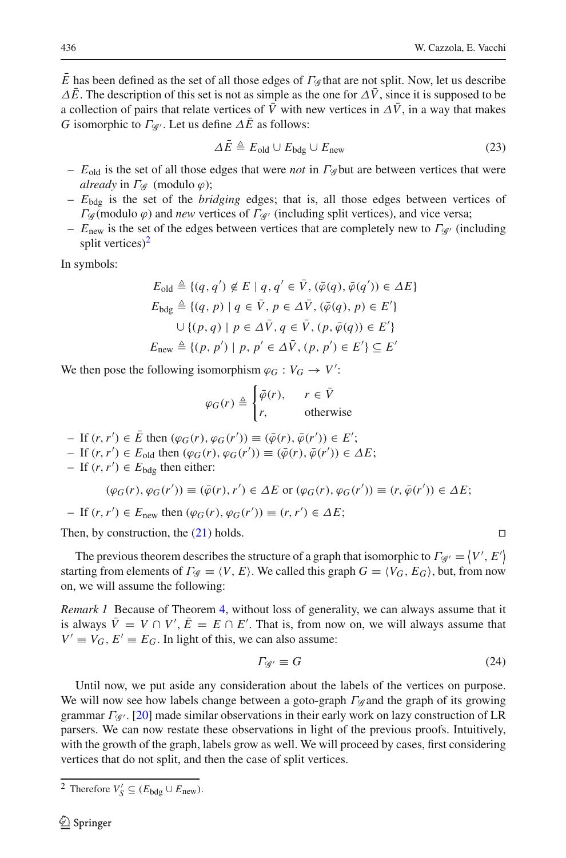$\overline{E}$  has been defined as the set of all those edges of  $\Gamma_{\mathscr{G}}$  that are not split. Now, let us describe  $\Delta \bar{E}$ . The description of this set is not as simple as the one for  $\Delta \bar{V}$ , since it is supposed to be a collection of pairs that relate vertices of  $\bar{V}$  with new vertices in  $\Delta \bar{V}$ , in a way that makes *G* isomorphic to  $\Gamma_{\mathscr{G}}$ . Let us define  $\Delta \bar{E}$  as follows:

$$
\Delta \bar{E} \triangleq E_{\text{old}} \cup E_{\text{bdg}} \cup E_{\text{new}} \tag{23}
$$

- *E*old is the set of all those edges that were *not* in Γ*<sup>G</sup>* but are between vertices that were *already* in  $\Gamma$ *G* (modulo  $\varphi$ );
- *E*bdg is the set of the *bridging* edges; that is, all those edges between vertices of  $Γ$ <sub>*g*</sub>(modulo  $\varphi$ ) and *new* vertices of  $Γ$ <sub>*g*<sup>*i*</sup> (including split vertices), and vice versa;</sub>
- $E_{\text{new}}$  is the set of the edges between vertices that are completely new to  $\Gamma_{\mathscr{G}}$  (including split vertices $)^2$

In symbols:

$$
E_{\text{old}} \triangleq \{ (q, q') \notin E \mid q, q' \in \bar{V}, (\bar{\varphi}(q), \bar{\varphi}(q')) \in \Delta E \}
$$
  
\n
$$
E_{\text{bdg}} \triangleq \{ (q, p) \mid q \in \bar{V}, p \in \Delta \bar{V}, (\bar{\varphi}(q), p) \in E' \}
$$
  
\n
$$
\cup \{ (p, q) \mid p \in \Delta \bar{V}, q \in \bar{V}, (p, \bar{\varphi}(q)) \in E' \}
$$
  
\n
$$
E_{\text{new}} \triangleq \{ (p, p') \mid p, p' \in \Delta \bar{V}, (p, p') \in E' \} \subseteq E'
$$

We then pose the following isomorphism  $\varphi_G : V_G \to V'$ :

$$
\varphi_G(r) \triangleq \begin{cases} \bar{\varphi}(r), & r \in \bar{V} \\ r, & \text{otherwise} \end{cases}
$$

- $-$  If  $(r, r') \in \overline{E}$  then  $(\varphi_G(r), \varphi_G(r')) \equiv (\overline{\varphi}(r), \overline{\varphi}(r')) \in E';$
- $-I$  If  $(r, r') \in E_{\text{old}}$  then  $(\varphi_G(r), \varphi_G(r')) \equiv (\bar{\varphi}(r), \bar{\varphi}(r')) \in \Delta E;$
- − If  $(r, r') \in E_{\text{bdg}}$  then either:

$$
(\varphi_G(r), \varphi_G(r')) \equiv (\bar{\varphi}(r), r') \in \Delta E \text{ or } (\varphi_G(r), \varphi_G(r')) \equiv (r, \bar{\varphi}(r')) \in \Delta E;
$$

 $-$  If (*r*,*r'*) ∈ *E*<sub>new</sub> then ( $\varphi$ <sup>*G*</sup>(*r*),  $\varphi$ <sup>*G*</sup>(*r'*)) ≡ (*r*,*r'*) ∈ Δ*E*;

Then, by construction, the  $(21)$  holds.

The previous theorem describes the structure of a graph that isomorphic to  $\Gamma_{\mathscr{G}} = \langle V', E' \rangle$ starting from elements of  $\Gamma_{\mathscr{G}} = \langle V, E \rangle$ . We called this graph  $G = \langle V_G, E_G \rangle$ , but, from now on, we will assume the following:

<span id="page-17-2"></span>*Remark 1* Because of Theorem [4,](#page-16-4) without loss of generality, we can always assume that it is always  $\bar{V} = V \cap V'$ ,  $\bar{E} = E \cap E'$ . That is, from now on, we will always assume that  $V' \equiv V_G$ ,  $E' \equiv E_G$ . In light of this, we can also assume:

$$
\Gamma g = G \tag{24}
$$

Until now, we put aside any consideration about the labels of the vertices on purpose. We will now see how labels change between a goto-graph Γ*<sup>G</sup>* and the graph of its growing grammar Γ*<sup>G</sup>* . [\[20](#page-28-18)] made similar observations in their early work on lazy construction of LR parsers. We can now restate these observations in light of the previous proofs. Intuitively, with the growth of the graph, labels grow as well. We will proceed by cases, first considering vertices that do not split, and then the case of split vertices.

$$
\Box
$$

<span id="page-17-1"></span><span id="page-17-0"></span><sup>&</sup>lt;sup>2</sup> Therefore  $V'_{S} \subseteq (E_{\text{bdg}} \cup E_{\text{new}})$ .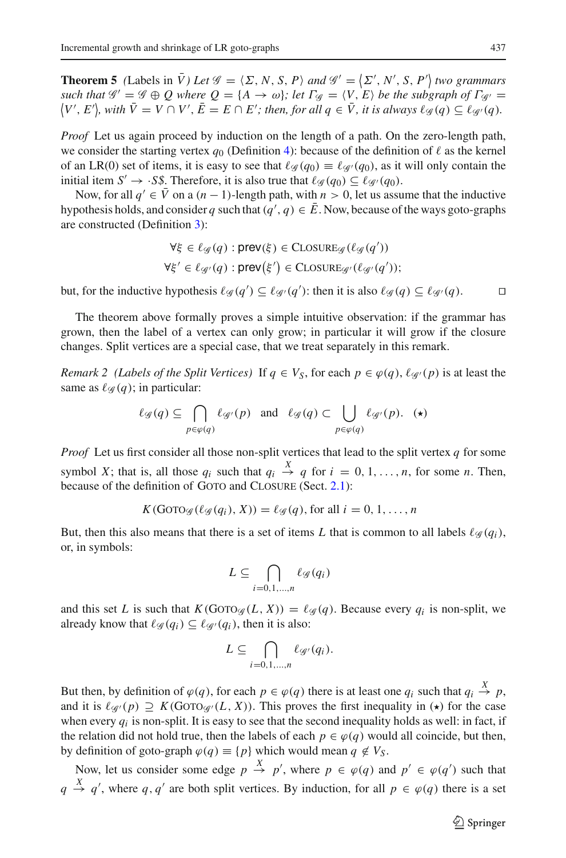**Theorem 5** *(Labels in*  $\bar{V}$ *) Let*  $\mathscr{G} = \langle \Sigma, N, S, P \rangle$  and  $\mathscr{G}' = \langle \Sigma', N', S, P' \rangle$  two grammars *such that*  $\mathscr{G}' = \mathscr{G} \oplus Q$  where  $Q = \{A \rightarrow \omega\}$ ; let  $\Gamma_{\mathscr{G}} = \langle V, E \rangle$  be the subgraph of  $\Gamma_{\mathscr{G}'} =$  $\langle V', E' \rangle$ , with  $\bar{V} = V \cap V', \bar{E} = E \cap E'$ ; then, for all  $q \in \bar{V}$ , it is always  $\ell_{\mathscr{G}}(q) \subseteq \ell_{\mathscr{G}'}(q)$ .

*Proof* Let us again proceed by induction on the length of a path. On the zero-length path, we consider the starting vertex  $q_0$  (Definition [4\)](#page-8-1): because of the definition of  $\ell$  as the kernel of an LR(0) set of items, it is easy to see that  $\ell_{\mathscr{G}}(q_0) \equiv \ell_{\mathscr{G}}(q_0)$ , as it will only contain the initial item *S'*  $\rightarrow$  *·S\$*. Therefore, it is also true that  $\ell_{\mathscr{G}}(q_0) \subseteq \ell_{\mathscr{G}}(q_0)$ .

Now, for all  $q' \in \overline{V}$  on a  $(n-1)$ -length path, with  $n > 0$ , let us assume that the inductive hypothesis holds, and consider *q* such that  $(q', q) \in \overline{E}$ . Now, because of the ways goto-graphs are constructed (Definition [3\)](#page-7-1):

$$
\forall \xi \in \ell_{\mathcal{G}}(q) : \text{prev}(\xi) \in \text{CLOSURE}_{\mathcal{G}}(\ell_{\mathcal{G}}(q'))
$$
  

$$
\forall \xi' \in \ell_{\mathcal{G}'}(q) : \text{prev}(\xi') \in \text{CLOSURE}_{\mathcal{G}'}(\ell_{\mathcal{G}'}(q')),
$$

but, for the inductive hypothesis  $\ell_{\mathscr{G}}(q') \subseteq \ell_{\mathscr{G}}(q')$ : then it is also  $\ell_{\mathscr{G}}(q) \subseteq \ell_{\mathscr{G}}(q)$ .

The theorem above formally proves a simple intuitive observation: if the grammar has grown, then the label of a vertex can only grow; in particular it will grow if the closure changes. Split vertices are a special case, that we treat separately in this remark.

<span id="page-18-0"></span>*Remark 2 (Labels of the Split Vertices)* If  $q \in V_S$ , for each  $p \in \varphi(q)$ ,  $\ell_{\mathcal{G}}(p)$  is at least the same as  $\ell_{\mathscr{G}}(q)$ ; in particular:

$$
\ell_{\mathscr{G}}(q) \subseteq \bigcap_{p \in \varphi(q)} \ell_{\mathscr{G}'}(p) \text{ and } \ell_{\mathscr{G}}(q) \subset \bigcup_{p \in \varphi(q)} \ell_{\mathscr{G}'}(p). \quad (*)
$$

*Proof* Let us first consider all those non-split vertices that lead to the split vertex *q* for some symbol *X*; that is, all those  $q_i$  such that  $q_i \stackrel{X}{\rightarrow} q$  for  $i = 0, 1, \ldots, n$ , for some *n*. Then, because of the definition of GOTO and CLOSURE (Sect. [2.1\)](#page-5-1):

$$
K(\text{GOTO}_{\mathscr{G}}(\ell_{\mathscr{G}}(q_i), X)) = \ell_{\mathscr{G}}(q), \text{ for all } i = 0, 1, \ldots, n
$$

But, then this also means that there is a set of items L that is common to all labels  $\ell_{\mathscr{G}}(q_i)$ , or, in symbols:

$$
L \subseteq \bigcap_{i=0,1,\dots,n} \ell_{\mathscr{G}}(q_i)
$$

and this set *L* is such that  $K(GOTO<sub>G</sub>(L, X)) = \ell_{\mathcal{G}}(q)$ . Because every  $q_i$  is non-split, we already know that  $\ell_{\mathscr{G}}(q_i) \subseteq \ell_{\mathscr{G}}(q_i)$ , then it is also:

$$
L \subseteq \bigcap_{i=0,1,\ldots,n} \ell_{\mathscr{G}'}(q_i).
$$

But then, by definition of  $\varphi(q)$ , for each  $p \in \varphi(q)$  there is at least one  $q_i$  such that  $q_i \stackrel{X}{\to} p$ , and it is  $\ell_{\mathscr{G}}(p) \supseteq K(\text{Goto}_{\mathscr{G}}(L, X))$ . This proves the first inequality in ( $\star$ ) for the case when every  $q_i$  is non-split. It is easy to see that the second inequality holds as well: in fact, if the relation did not hold true, then the labels of each  $p \in \varphi(q)$  would all coincide, but then, by definition of goto-graph  $\varphi(q) \equiv \{p\}$  which would mean  $q \notin V_S$ .

Now, let us consider some edge  $p \stackrel{X}{\rightarrow} p'$ , where  $p \in \varphi(q)$  and  $p' \in \varphi(q')$  such that  $q \stackrel{X}{\rightarrow} q'$ , where  $q, q'$  are both split vertices. By induction, for all  $p \in \varphi(q)$  there is a set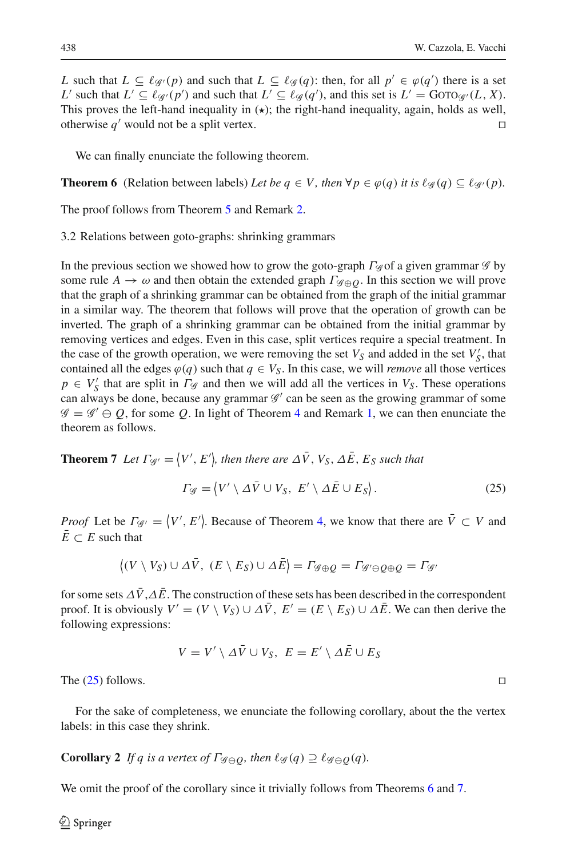*L* such that  $L \subseteq \ell_{\mathscr{G}}(p)$  and such that  $L \subseteq \ell_{\mathscr{G}}(q)$ : then, for all  $p' \in \varphi(q')$  there is a set *L*' such that  $L' \subseteq \ell_{\mathscr{G}}(p')$  and such that  $L' \subseteq \ell_{\mathscr{G}}(q')$ , and this set is  $L' = \text{Gor}o_{\mathscr{G}}(L, X)$ . This proves the left-hand inequality in  $(\star)$ ; the right-hand inequality, again, holds as well,

<span id="page-19-1"></span>We can finally enunciate the following theorem.

**Theorem 6** (Relation between labels) Let be  $q \in V$ , then  $\forall p \in \varphi(q)$  it is  $\ell \varphi(q) \subseteq \ell \varphi(p)$ .

otherwise  $q'$  would not be a split vertex.

The proof follows from Theorem [5](#page-17-1) and Remark [2.](#page-18-0)

3.2 Relations between goto-graphs: shrinking grammars

In the previous section we showed how to grow the goto-graph Γ*<sup>G</sup>* of a given grammar *G* by some rule  $A \rightarrow \omega$  and then obtain the extended graph  $\Gamma \circ \varphi$ . In this section we will prove that the graph of a shrinking grammar can be obtained from the graph of the initial grammar in a similar way. The theorem that follows will prove that the operation of growth can be inverted. The graph of a shrinking grammar can be obtained from the initial grammar by removing vertices and edges. Even in this case, split vertices require a special treatment. In the case of the growth operation, we were removing the set  $V_S$  and added in the set  $V'_S$ , that contained all the edges  $\varphi(q)$  such that  $q \in V_S$ . In this case, we will *remove* all those vertices  $p \in V'_{S}$  that are split in  $\Gamma_{S}$  and then we will add all the vertices in  $V_{S}$ . These operations can always be done, because any grammar  $\mathscr{G}'$  can be seen as the growing grammar of some  $\mathscr{G} = \mathscr{G}' \ominus Q$ , for some Q. In light of Theorem [4](#page-16-4) and Remark [1,](#page-17-2) we can then enunciate the theorem as follows.

<span id="page-19-2"></span><span id="page-19-0"></span>**Theorem 7** Let  $\Gamma_{\mathscr{G}'} = \langle V', E' \rangle$ , then there are  $\Delta \bar{V}$ ,  $V_S$ ,  $\Delta \bar{E}$ ,  $E_S$  such that

$$
\Gamma_{\mathscr{G}} = \langle V' \setminus \Delta \bar{V} \cup V_S, \ E' \setminus \Delta \bar{E} \cup E_S \rangle. \tag{25}
$$

*Proof* Let be  $\Gamma_{\mathscr{G}} = \langle V', E' \rangle$ . Because of Theorem [4,](#page-16-4) we know that there are  $\overline{V} \subset V$  and  $\overline{E} \subset E$  such that

$$
\langle (V \setminus V_S) \cup \Delta \bar{V}, \ (E \setminus E_S) \cup \Delta \bar{E} \rangle = \Gamma_{\mathscr{G} \oplus Q} = \Gamma_{\mathscr{G}' \ominus Q \oplus Q} = \Gamma_{\mathscr{G}'}
$$

for some sets  $\Delta \bar{V}$ ,  $\Delta \bar{E}$ . The construction of these sets has been described in the correspondent proof. It is obviously  $V' = (V \setminus V_S) \cup \Delta \overline{V}$ ,  $E' = (E \setminus E_S) \cup \Delta \overline{E}$ . We can then derive the following expressions:

$$
V = V' \setminus \Delta \bar{V} \cup V_S, \ E = E' \setminus \Delta \bar{E} \cup E_S
$$

The  $(25)$  follows.

For the sake of completeness, we enunciate the following corollary, about the the vertex labels: in this case they shrink.

**Corollary 2** *If q is a vertex of*  $\Gamma_{\mathscr{G}\ominus O}$ *, then*  $\ell_{\mathscr{G}}(q) \supseteq \ell_{\mathscr{G}\ominus O}(q)$ *.* 

We omit the proof of the corollary since it trivially follows from Theorems [6](#page-19-1) and [7.](#page-19-2)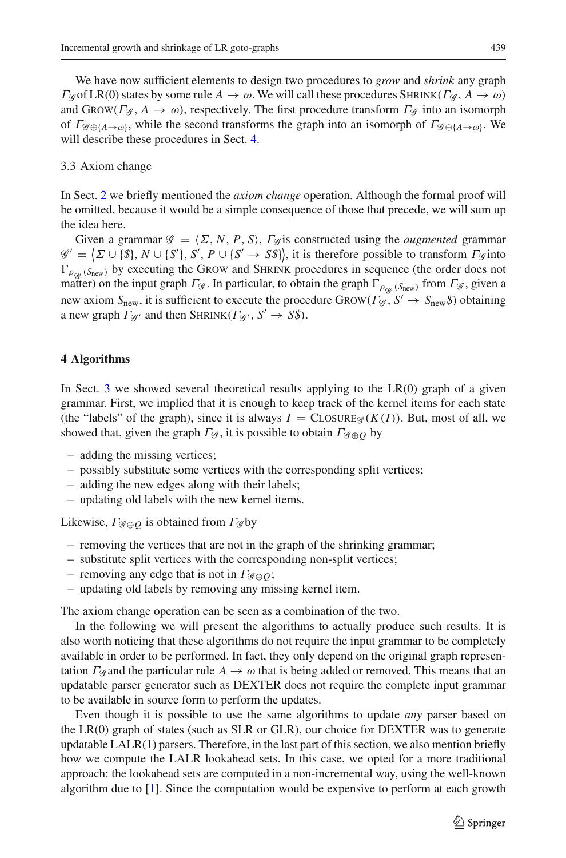We have now sufficient elements to design two procedures to *grow* and *shrink* any graph  $Γ$ <sub>*g*</sub> of LR(0) states by some rule *A* → ω. We will call these procedures SHRINK( $Γ$ <sub>*g*</sub>, *A* → ω) and GROW( $\Gamma$ <sub>*G*</sub>,  $A \rightarrow \omega$ ), respectively. The first procedure transform  $\Gamma$ <sub>*G*</sub> into an isomorph of  $\Gamma_{\mathscr{G}\oplus{\{A\}\rightarrow\omega\}}$ , while the second transforms the graph into an isomorph of  $\Gamma_{\mathscr{G}\ominus{\{A\}\rightarrow\omega\}}$ . We will describe these procedures in Sect. [4.](#page-20-0)

#### 3.3 Axiom change

In Sect. [2](#page-4-0) we briefly mentioned the *axiom change* operation. Although the formal proof will be omitted, because it would be a simple consequence of those that precede, we will sum up the idea here.

Given a grammar  $\mathcal{G} = \langle \Sigma, N, P, S \rangle$ ,  $\Gamma_{\mathcal{G}}$  is constructed using the *augmented* grammar  $\mathscr{G}' = \{ \Sigma \cup \{\$\}, N \cup \{S'\}, S', P \cup \{S' \rightarrow S\}\},\$ it is therefore possible to transform  $\Gamma \mathscr{G}$  into  $\Gamma_{\rho_{\text{c}}(S_{\text{new}})}$  by executing the GROW and SHRINK procedures in sequence (the order does not matter) on the input graph  $\Gamma$ <sub>*G*</sub>. In particular, to obtain the graph  $\Gamma$ <sub>*ρ<sub>ca</sub>* (*S*<sub>new</sub>) from  $\Gamma$ *g*, given a</sub> new axiom  $S_{\text{new}}$ , it is sufficient to execute the procedure  $\text{GROW}(F_{\mathscr{G}}, S' \rightarrow S_{\text{new}}\mathscr{F})$  obtaining a new graph  $\Gamma_{\mathcal{G}}$  and then SHRINK( $\Gamma_{\mathcal{G}}$ ,  $S' \rightarrow S\$ ).

#### <span id="page-20-0"></span>**4 Algorithms**

In Sect. [3](#page-9-0) we showed several theoretical results applying to the  $LR(0)$  graph of a given grammar. First, we implied that it is enough to keep track of the kernel items for each state (the "labels" of the graph), since it is always  $I = \text{CLOSURE}_{\mathcal{G}}(K(I))$ . But, most of all, we showed that, given the graph  $\Gamma$ <sub>*G*</sub>, it is possible to obtain  $\Gamma$ <sub>*G* $oplus$ *O*</sub> by

- adding the missing vertices;
- possibly substitute some vertices with the corresponding split vertices;
- adding the new edges along with their labels;
- updating old labels with the new kernel items.

Likewise, Γ*<sup>G</sup> <sup>Q</sup>* is obtained from Γ*<sup>G</sup>* by

- removing the vertices that are not in the graph of the shrinking grammar;
- substitute split vertices with the corresponding non-split vertices;
- removing any edge that is not in  $\Gamma_{\mathscr{G}\ominus O}$ ;
- updating old labels by removing any missing kernel item.

The axiom change operation can be seen as a combination of the two.

In the following we will present the algorithms to actually produce such results. It is also worth noticing that these algorithms do not require the input grammar to be completely available in order to be performed. In fact, they only depend on the original graph representation  $\Gamma_{\mathscr{G}}$  and the particular rule  $A \to \omega$  that is being added or removed. This means that an updatable parser generator such as DEXTER does not require the complete input grammar to be available in source form to perform the updates.

Even though it is possible to use the same algorithms to update *any* parser based on the LR(0) graph of states (such as SLR or GLR), our choice for DEXTER was to generate updatable  $LALR(1)$  parsers. Therefore, in the last part of this section, we also mention briefly how we compute the LALR lookahead sets. In this case, we opted for a more traditional approach: the lookahead sets are computed in a non-incremental way, using the well-known algorithm due to [\[1\]](#page-27-13). Since the computation would be expensive to perform at each growth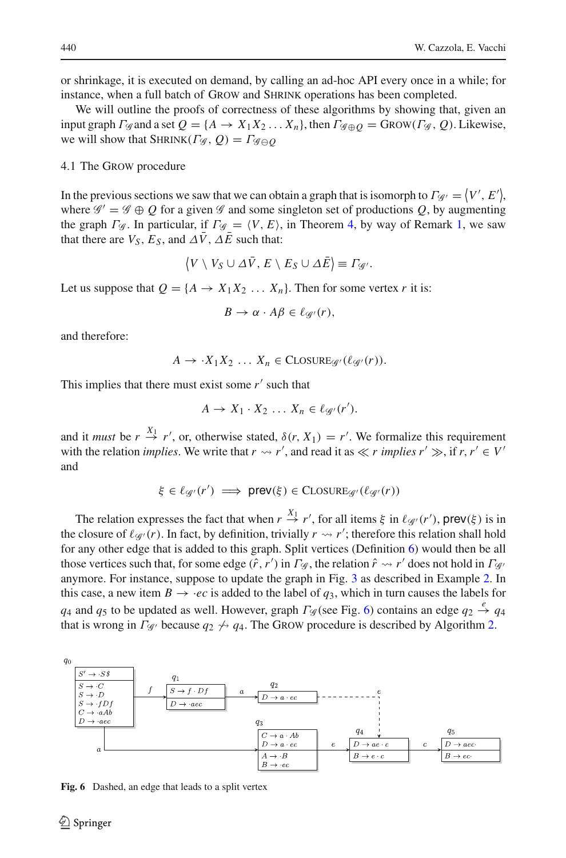or shrinkage, it is executed on demand, by calling an ad-hoc API every once in a while; for instance, when a full batch of GROW and SHRINK operations has been completed.

We will outline the proofs of correctness of these algorithms by showing that, given an input graph  $\Gamma_{\mathscr{G}}$  and a set  $Q = \{A \rightarrow X_1X_2...X_n\}$ , then  $\Gamma_{\mathscr{G} \oplus Q} = \text{GRow}(\Gamma_{\mathscr{G}}, Q)$ . Likewise, we will show that  $\text{SHRINK}(\Gamma \mathcal{G}, Q) = \Gamma \mathcal{G} \ominus Q$ 

#### 4.1 The Grow procedure

In the previous sections we saw that we can obtain a graph that is isomorph to  $\Gamma_{\mathscr{G}'} = \langle V', E' \rangle$ , where  $\mathscr{G}' = \mathscr{G} \oplus Q$  for a given  $\mathscr{G}$  and some singleton set of productions Q, by augmenting the graph  $\Gamma$ <sub>*G*</sub>. In particular, if  $\Gamma$ <sub>*G*</sub> =  $\langle V, E \rangle$ , in Theorem [4,](#page-16-4) by way of Remark [1,](#page-17-2) we saw that there are  $V_S$ ,  $E_S$ , and  $\Delta \bar{V}$ ,  $\Delta \bar{E}$  such that:

$$
\langle V \setminus V_S \cup \Delta \bar{V}, E \setminus E_S \cup \Delta \bar{E} \rangle \equiv \Gamma_{\mathscr{G}'}.
$$

Let us suppose that  $Q = \{A \rightarrow X_1 X_2 \dots X_n\}$ . Then for some vertex *r* it is:

$$
B\to \alpha\cdot A\beta\in \ell_{\mathscr G'}(r),
$$

and therefore:

$$
A \to \cdot X_1 X_2 \dots X_n \in \text{CLOSURE}_{\mathscr{G}}(\ell_{\mathscr{G}}(r)).
$$

This implies that there must exist some  $r'$  such that

$$
A \to X_1 \cdot X_2 \cdot \cdot \cdot X_n \in \ell_{\mathscr{G}'}(r').
$$

and it *must* be  $r \stackrel{X_1}{\rightarrow} r'$ , or, otherwise stated,  $\delta(r, X_1) = r'$ . We formalize this requirement with the relation *implies*. We write that  $r \rightarrow r'$ , and read it as  $\ll r$  *implies*  $r' \gg$ , if  $r, r' \in V'$ and

$$
\xi \in \ell_{\mathscr{G}'}(r') \implies \mathsf{prev}(\xi) \in \mathsf{CLOSURE}_{\mathscr{G}'}(\ell_{\mathscr{G}'}(r))
$$

The relation expresses the fact that when  $r \stackrel{X_1}{\rightarrow} r'$ , for all items  $\xi$  in  $\ell_{\mathscr{G}}(r')$ , prev( $\xi$ ) is in the closure of  $\ell_{\mathscr{G}}(r)$ . In fact, by definition, trivially  $r \rightarrow r'$ ; therefore this relation shall hold for any other edge that is added to this graph. Split vertices (Definition [6\)](#page-13-2) would then be all those vertices such that, for some edge  $(\hat{r}, r')$  in  $\Gamma_{\mathscr{G}}$ , the relation  $\hat{r} \leadsto r'$  does not hold in  $\Gamma_{\mathscr{G}}$ anymore. For instance, suppose to update the graph in Fig. [3](#page-10-2) as described in Example [2.](#page-10-0) In this case, a new item  $B \rightarrow \text{·}ec$  is added to the label of  $q_3$ , which in turn causes the labels for *q*<sub>4</sub> and *q*<sub>5</sub> to be updated as well. However, graph  $\Gamma$ <sub>*G*</sub> (see Fig. [6\)](#page-21-0) contains an edge  $q_2 \stackrel{e}{\rightarrow} q_4$ that is wrong in  $\Gamma_{\mathscr{G}}$  because  $q_2 \nleftrightarrow q_4$ . The Grow procedure is described by Algorithm [2.](#page-22-0)



<span id="page-21-0"></span>**Fig. 6** Dashed, an edge that leads to a split vertex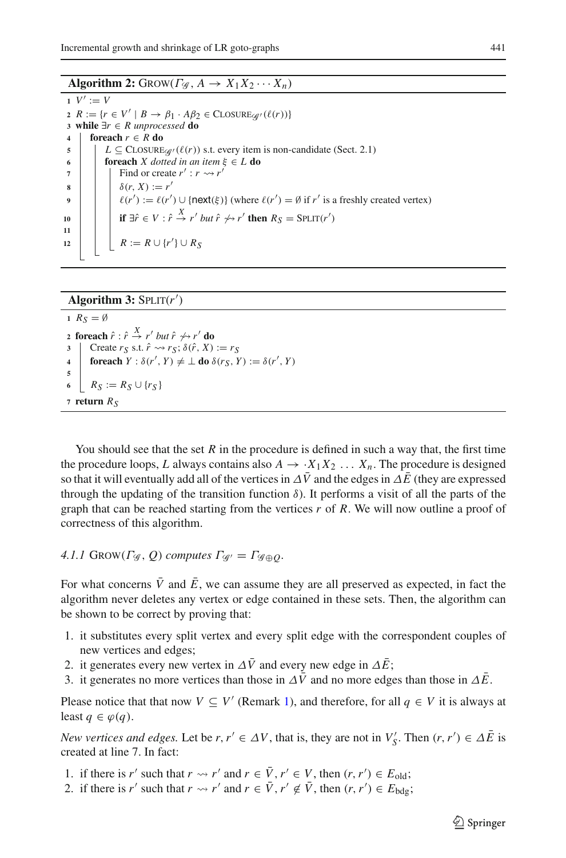**Algorithm 2:** GROW( $\Gamma_{\mathscr{G}}$ ,  $A \rightarrow X_1 X_2 \cdots X_n$ )

<span id="page-22-0"></span>**1**  $V' := V$   $R := \{r \in V' \mid B \rightarrow \beta_1 \cdot A\beta_2 \in \text{CLOSURE}_{\mathcal{G}'}(\ell(r))\}$  **while** ∃*r* ∈ *R unprocessed* **do foreach** *r* ∈ *R* **do**  $L \subseteq \text{CLOSURE}_{\mathcal{G}}(\ell(r))$  s.t. every item is non-candidate (Sect. 2.1)<br>**6 forwach** *X* dotted in an item  $\xi \in L$  **do foreach** *X* dotted in an item  $\xi \in L$  **do**   $\begin{array}{|c|c|c|c|c|} \hline \end{array}$  Find or create  $r': r \rightsquigarrow r'$   $\delta(r, X) := r'$   $\left| \begin{array}{c} | \\ | \\ | \end{array} \right|$   $\left| \begin{array}{c} \ell(r') := \ell(r') \cup \{\text{next}(\xi)\} \text{ (where } \ell(r') = \emptyset \text{ if } r' \text{ is a freshly created vertex)} \end{array} \right|$  **if**  $\exists \hat{r} \in V : \hat{r} \stackrel{X}{\rightarrow} r'$  *but*  $\hat{r} \nleftrightarrow r'$  **then**  $R_S = \text{SPLIT}(r')$ **11**  $\begin{bmatrix} \cdot & \cdot \\ \cdot & \cdot \end{bmatrix}$   $\begin{bmatrix} R := R \cup \{r'\} \cup R_S \end{bmatrix}$ 

# **Algorithm 3:**  $SPLIT(r')$

<span id="page-22-1"></span>  $R_S = \emptyset$  **foreach**  $\hat{r}: \hat{r} \stackrel{X}{\rightarrow} r'$  *but*  $\hat{r} \nleftrightarrow r'$  **do**  Create  $r_S$  s.t.  $\hat{r} \rightsquigarrow r_S$ ;  $\delta(\hat{r}, X) := r_S$  **foreach**  $Y : \delta(r', Y) \neq \perp$  **do**  $\delta(r_S, Y) := \delta(r', Y)$ **5**  $R_S := R_S \cup \{r_S\}$  **<b>return**  $R_S$ 

You should see that the set  $R$  in the procedure is defined in such a way that, the first time the procedure loops, *L* always contains also  $A \rightarrow \overline{X_1 X_2 \ldots X_n}$ . The procedure is designed so that it will eventually add all of the vertices in  $\Delta V$  and the edges in  $\Delta E$  (they are expressed through the updating of the transition function  $\delta$ ). It performs a visit of all the parts of the graph that can be reached starting from the vertices *r* of *R*. We will now outline a proof of correctness of this algorithm.

# *4.1.1*  $\text{GROW}(F_{\mathscr{G}}, Q)$  *computes*  $F_{\mathscr{G}} = F_{\mathscr{G} \oplus Q}$ .

For what concerns  $\overline{V}$  and  $\overline{E}$ , we can assume they are all preserved as expected, in fact the algorithm never deletes any vertex or edge contained in these sets. Then, the algorithm can be shown to be correct by proving that:

- 1. it substitutes every split vertex and every split edge with the correspondent couples of new vertices and edges;
- 2. it generates every new vertex in  $\Delta \bar{V}$  and every new edge in  $\Delta \bar{E}$ ;
- 3. it generates no more vertices than those in  $\Delta \bar{V}$  and no more edges than those in  $\Delta \bar{E}$ .

Please notice that that now  $V \subseteq V'$  (Remark [1\)](#page-17-2), and therefore, for all  $q \in V$  it is always at least  $q \in \varphi(q)$ .

*New vertices and edges.* Let be *r*,  $r' \in \Delta V$ , that is, they are not in  $V'_{S}$ . Then  $(r, r') \in \Delta \overline{E}$  is created at line 7. In fact:

- 1. if there is *r'* such that  $r \rightsquigarrow r'$  and  $r \in \overline{V}$ ,  $r' \in V$ , then  $(r, r') \in E_{old}$ ;
- 2. if there is *r'* such that  $r \rightsquigarrow r'$  and  $r \in \overline{V}$ ,  $r' \notin \overline{V}$ , then  $(r, r') \in E_{\text{bdg}}$ ;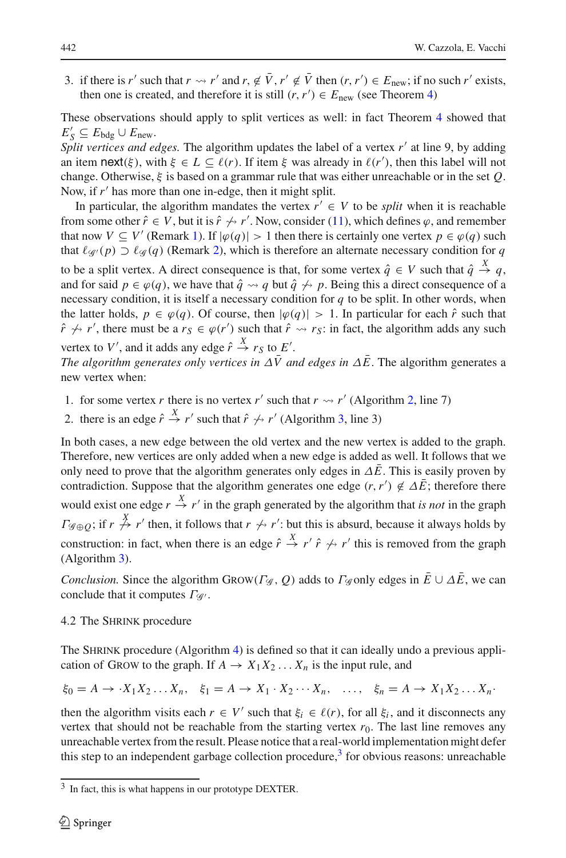3. if there is *r'* such that  $r \rightsquigarrow r'$  and  $r, \notin \overline{V}$ ,  $r' \notin \overline{V}$  then  $(r, r') \in E_{\text{new}}$ ; if no such  $r'$  exists, then one is created, and therefore it is still  $(r, r') \in E_{\text{new}}$  (see Theorem [4\)](#page-16-4)

These observations should apply to split vertices as well: in fact Theorem [4](#page-16-4) showed that  $E'_S \subseteq E_{\text{bdg}} \cup E_{\text{new}}.$ 

*Split vertices and edges.* The algorithm updates the label of a vertex r' at line 9, by adding an item next( $\xi$ ), with  $\xi \in L \subseteq \ell(r)$ . If item  $\xi$  was already in  $\ell(r')$ , then this label will not change. Otherwise, ξ is based on a grammar rule that was either unreachable or in the set *Q*. Now, if r' has more than one in-edge, then it might split.

In particular, the algorithm mandates the vertex  $r' \in V$  to be *split* when it is reachable from some other  $\hat{r} \in V$ , but it is  $\hat{r} \nleftrightarrow r'$ . Now, consider [\(11\)](#page-12-2), which defines  $\varphi$ , and remember that now  $V \subseteq V'$  (Remark [1\)](#page-17-2). If  $|\varphi(q)| > 1$  then there is certainly one vertex  $p \in \varphi(q)$  such that  $\ell_{\mathcal{G}}(p) \supset \ell_{\mathcal{G}}(q)$  (Remark [2\)](#page-18-0), which is therefore an alternate necessary condition for *q* to be a split vertex. A direct consequence is that, for some vertex  $\hat{q} \in V$  such that  $\hat{q} \stackrel{X}{\rightarrow} q$ , and for said  $p \in \varphi(q)$ , we have that  $\hat{q} \leadsto q$  but  $\hat{q} \not\leftrightarrow p$ . Being this a direct consequence of a necessary condition, it is itself a necessary condition for *q* to be split. In other words, when the latter holds,  $p \in \varphi(q)$ . Of course, then  $|\varphi(q)| > 1$ . In particular for each  $\hat{r}$  such that  $\hat{r} \nleftrightarrow r'$ , there must be a  $r_S \in \varphi(r')$  such that  $\hat{r} \rightsquigarrow r_S$ : in fact, the algorithm adds any such vertex to *V'*, and it adds any edge  $\hat{r} \stackrel{X}{\rightarrow} r_S$  to *E'*.

*The algorithm generates only vertices in*  $\Delta \bar{V}$  *and edges in*  $\Delta \bar{E}$ . The algorithm generates a new vertex when:

- 1. for some vertex *r* there is no vertex *r'* such that  $r \rightarrow r'$  (Algorithm [2,](#page-22-0) line 7)
- 2. there is an edge  $\hat{r} \stackrel{X}{\rightarrow} r'$  such that  $\hat{r} \nleftrightarrow r'$  (Algorithm [3,](#page-22-1) line 3)

In both cases, a new edge between the old vertex and the new vertex is added to the graph. Therefore, new vertices are only added when a new edge is added as well. It follows that we only need to prove that the algorithm generates only edges in  $\Delta \bar{E}$ . This is easily proven by contradiction. Suppose that the algorithm generates one edge  $(r, r') \notin \Delta \overline{E}$ ; therefore there would exist one edge  $r \stackrel{X}{\rightarrow} r'$  in the graph generated by the algorithm that *is not* in the graph  $\Gamma_{\mathscr{G}\oplus\mathcal{Q}}$ ; if  $r \not\stackrel{X}{\to} r'$  then, it follows that  $r \not\sim r'$ : but this is absurd, because it always holds by construction: in fact, when there is an edge  $\hat{r} \stackrel{X}{\to} r' \hat{r} \not\leftrightarrow r'$  this is removed from the graph (Algorithm [3\)](#page-22-1).

*Conclusion.* Since the algorithm GROW( $\Gamma$ <sup>*G*</sup>,  $Q$ ) adds to  $\Gamma$ <sub>*G*</sub> only edges in  $\overline{E}$  ∪  $\Delta$  $\overline{E}$ , we can conclude that it computes  $Γ_{\mathcal{G}}$ .

### 4.2 The Shrink procedure

The SHRINK procedure (Algorithm [4\)](#page-24-0) is defined so that it can ideally undo a previous application of GROW to the graph. If  $A \to X_1 X_2 ... X_n$  is the input rule, and

$$
\xi_0 = A \rightarrow \cdot X_1 X_2 \dots X_n, \quad \xi_1 = A \rightarrow X_1 \cdot X_2 \cdots X_n, \quad \dots, \quad \xi_n = A \rightarrow X_1 X_2 \dots X_n.
$$

then the algorithm visits each  $r \in V'$  such that  $\xi_i \in \ell(r)$ , for all  $\xi_i$ , and it disconnects any vertex that should not be reachable from the starting vertex  $r<sub>0</sub>$ . The last line removes any unreachable vertex from the result. Please notice that a real-world implementation might defer this step to an independent garbage collection procedure,<sup>3</sup> for obvious reasons: unreachable

<span id="page-23-0"></span><sup>&</sup>lt;sup>3</sup> In fact, this is what happens in our prototype DEXTER.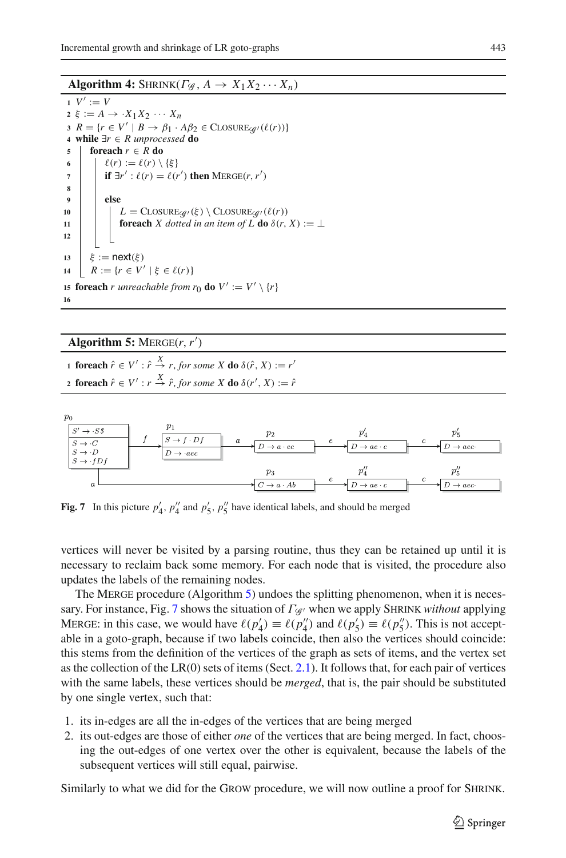### **Algorithm 4:** SHRINK( $\Gamma \circ g$ ,  $A \to X_1 X_2 \cdots X_n$ )

<span id="page-24-0"></span>**1**  $V' := V'$ 2 ξ :=  $A \rightarrow \cdot X_1 X_2 \cdots X_n$ **3**  $R = \{r \in V' \mid B \rightarrow \beta_1 \cdot A\beta_2 \in \text{CLOSURE}_{\mathscr{A}}(\ell(r))\}$ **<sup>4</sup> while** ∃*r* ∈ *R unprocessed* **do <sup>5</sup> foreach** *r* ∈ *R* **do 6**  $\ell(r) := \ell(r) \setminus \{\xi\}$ *7*  $\vert$  **if**  $\exists r' : \ell(r) = \ell(r')$  **then** MERGE(*r*, *r'*) **8 <sup>9</sup> else 10**  $L = \text{CLOSURE}_{\mathcal{G}}(\xi) \setminus \text{CLOSURE}_{\mathcal{G}}(\ell(r))$ <br>**11 forwards** *X* dotted in an item of *L*, **do**  $\delta(r)$ **foreach** *X* dotted in an item of **L do**  $\delta$ ( $r$ ,  $X$ ) :=  $\perp$ **12** 13  $\xi := \text{next}(\xi)$ **14**  $R := \{r \in V' \mid \xi \in \ell(r)\}\$ **15 foreach** *r* unreachable from  $r_0$  **do**  $V' := V' \setminus \{r\}$ **16**

# Algorithm 5:  $MERGE(r, r')$

<span id="page-24-1"></span>**1 foreach**  $\hat{r} \in V' : \hat{r} \stackrel{X}{\to} r$ , for some X **do**  $\delta(\hat{r}, X) := r'$ **2 foreach**  $\hat{r} \in V' : r \stackrel{X}{\to} \hat{r}$ , for some X **do**  $\delta(r', X) := \hat{r}$ 



<span id="page-24-2"></span>**Fig. 7** In this picture  $p'_4$ ,  $p''_4$  and  $p'_5$ ,  $p''_5$  have identical labels, and should be merged

vertices will never be visited by a parsing routine, thus they can be retained up until it is necessary to reclaim back some memory. For each node that is visited, the procedure also updates the labels of the remaining nodes.

The MERGE procedure (Algorithm [5\)](#page-24-1) undoes the splitting phenomenon, when it is necessary. For instance, Fig. [7](#page-24-2) shows the situation of Γ*<sup>G</sup>* when we apply Shrink *without* applying MERGE: in this case, we would have  $\ell(p'_4) \equiv \ell(p''_4)$  and  $\ell(p'_5) \equiv \ell(p''_5)$ . This is not acceptable in a goto-graph, because if two labels coincide, then also the vertices should coincide: this stems from the definition of the vertices of the graph as sets of items, and the vertex set as the collection of the  $LR(0)$  sets of items (Sect. [2.1\)](#page-5-1). It follows that, for each pair of vertices with the same labels, these vertices should be *merged*, that is, the pair should be substituted by one single vertex, such that:

- 1. its in-edges are all the in-edges of the vertices that are being merged
- 2. its out-edges are those of either *one* of the vertices that are being merged. In fact, choosing the out-edges of one vertex over the other is equivalent, because the labels of the subsequent vertices will still equal, pairwise.

Similarly to what we did for the Grow procedure, we will now outline a proof for Shrink.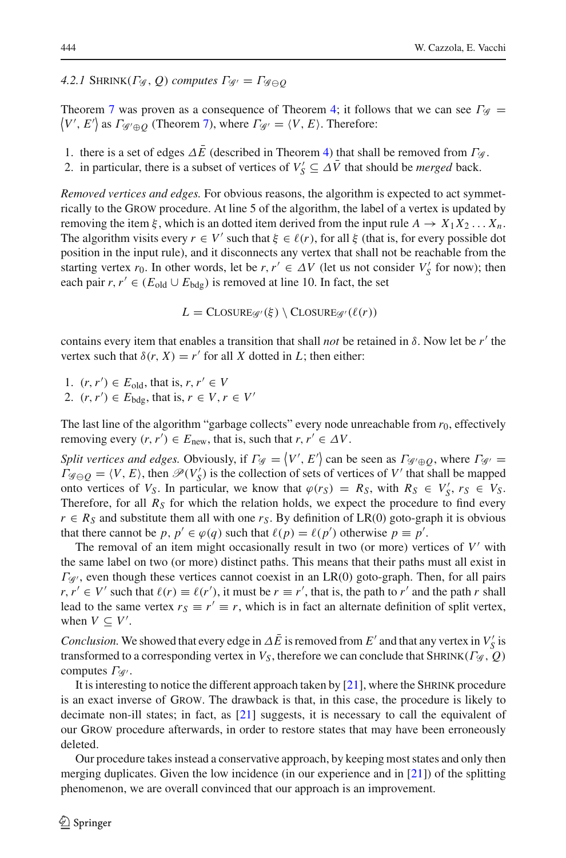# *4.2.1* SHRINK( $\Gamma$ *G*, *Q*) *computes*  $\Gamma$ <sub>*G*</sub> =  $\Gamma$ *G*<sub> $\oplus$ *O*</sub>

Theorem [7](#page-19-2) was proven as a consequence of Theorem [4;](#page-16-4) it follows that we can see  $\Gamma_{\mathscr{G}} =$  $\langle V', E' \rangle$  as  $\Gamma_{\mathscr{G}' \oplus \mathscr{Q}}$  (Theorem [7\)](#page-19-2), where  $\Gamma_{\mathscr{G}'} = \langle V, E \rangle$ . Therefore:

- 1. there is a set of edges  $\Delta \bar{E}$  (described in Theorem [4\)](#page-16-4) that shall be removed from  $\Gamma \mathcal{G}$ .
- 2. in particular, there is a subset of vertices of  $V'_S \subseteq \Delta \overline{V}$  that should be *merged* back.

*Removed vertices and edges.* For obvious reasons, the algorithm is expected to act symmetrically to the Grow procedure. At line 5 of the algorithm, the label of a vertex is updated by removing the item  $\xi$ , which is an dotted item derived from the input rule  $A \to X_1 X_2 ... X_n$ . The algorithm visits every  $r \in V'$  such that  $\xi \in \ell(r)$ , for all  $\xi$  (that is, for every possible dot position in the input rule), and it disconnects any vertex that shall not be reachable from the starting vertex  $r_0$ . In other words, let be  $r, r' \in \Delta V$  (let us not consider  $V'_S$  for now); then each pair  $r, r' \in (E_{old} \cup E_{bde})$  is removed at line 10. In fact, the set

 $L = \text{CLOSURE}_{\mathcal{A}}(\xi) \setminus \text{CLOSURE}_{\mathcal{A}}(\ell(r))$ 

contains every item that enables a transition that shall *not* be retained in  $\delta$ . Now let be  $r'$  the vertex such that  $\delta(r, X) = r'$  for all *X* dotted in *L*; then either:

1.  $(r, r') \in E_{\text{old}}$ , that is,  $r, r' \in V$ 2.  $(r, r') \in E_{\text{bdg}}$ , that is,  $r \in V, r \in V'$ 

The last line of the algorithm "garbage collects" every node unreachable from  $r_0$ , effectively removing every  $(r, r') \in E_{\text{new}}$ , that is, such that  $r, r' \in \Delta V$ .

*Split vertices and edges.* Obviously, if  $\Gamma_{\mathscr{G}} = \langle V', E' \rangle$  can be seen as  $\Gamma_{\mathscr{G}' \oplus Q}$ , where  $\Gamma_{\mathscr{G}'} =$  $\Gamma_{\mathscr{G}\ominus Q} = \langle V, E \rangle$ , then  $\mathscr{P}(V_S')$  is the collection of sets of vertices of *V'* that shall be mapped onto vertices of *V<sub>S</sub>*. In particular, we know that  $\varphi(r_S) = R_S$ , with  $R_S \in V'_S$ ,  $r_S \in V_S$ . Therefore, for all  $R<sub>S</sub>$  for which the relation holds, we expect the procedure to find every  $r \in R_S$  and substitute them all with one  $r_S$ . By definition of LR(0) goto-graph it is obvious that there cannot be *p*,  $p' \in \varphi(q)$  such that  $\ell(p) = \ell(p')$  otherwise  $p \equiv p'$ .

The removal of an item might occasionally result in two (or more) vertices of  $V'$  with the same label on two (or more) distinct paths. This means that their paths must all exist in  $\Gamma_{\mathcal{G}}$ , even though these vertices cannot coexist in an LR(0) goto-graph. Then, for all pairs  $r, r' \in V'$  such that  $\ell(r) \equiv \ell(r')$ , it must be  $r \equiv r'$ , that is, the path to *r'* and the path *r* shall lead to the same vertex  $r_S \equiv r' \equiv r$ , which is in fact an alternate definition of split vertex, when  $V \subseteq V'$ .

*Conclusion.* We showed that every edge in  $\Delta \bar{E}$  is removed from *E'* and that any vertex in  $V'_{S}$  is transformed to a corresponding vertex in  $V_S$ , therefore we can conclude that SHRINK( $\Gamma_{\mathscr{G}}$ ,  $Q$ ) computes  $\Gamma_{\mathscr{G}}$ .

It is interesting to notice the different approach taken by [\[21\]](#page-28-19), where the Shrink procedure is an exact inverse of Grow. The drawback is that, in this case, the procedure is likely to decimate non-ill states; in fact, as [\[21\]](#page-28-19) suggests, it is necessary to call the equivalent of our Grow procedure afterwards, in order to restore states that may have been erroneously deleted.

Our procedure takes instead a conservative approach, by keeping most states and only then merging duplicates. Given the low incidence (in our experience and in [\[21\]](#page-28-19)) of the splitting phenomenon, we are overall convinced that our approach is an improvement.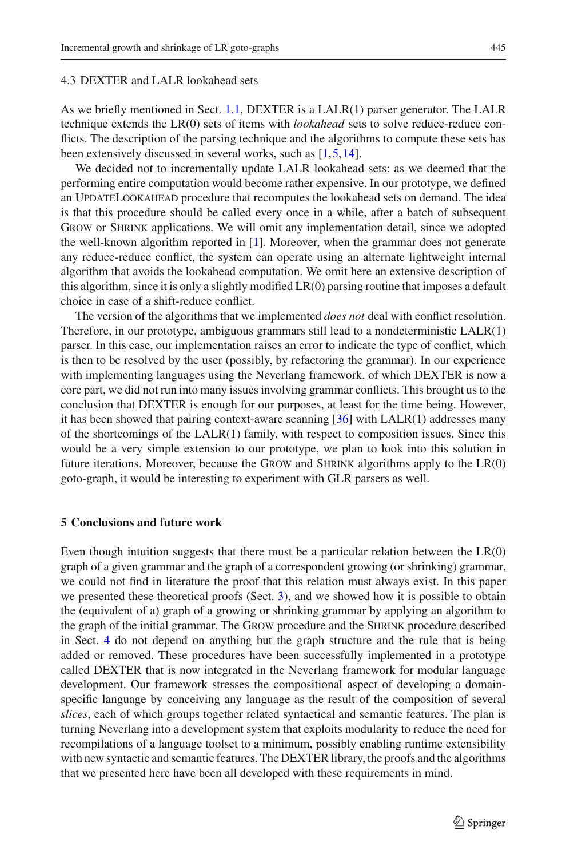#### 4.3 DEXTER and LALR lookahead sets

As we briefly mentioned in Sect. [1.1,](#page-0-0) DEXTER is a LALR(1) parser generator. The LALR technique extends the LR(0) sets of items with *lookahead* sets to solve reduce-reduce conflicts. The description of the parsing technique and the algorithms to compute these sets has been extensively discussed in several works, such as [\[1](#page-27-13)[,5](#page-27-14)[,14\]](#page-27-15).

We decided not to incrementally update LALR lookahead sets: as we deemed that the performing entire computation would become rather expensive. In our prototype, we defined an UpdateLookahead procedure that recomputes the lookahead sets on demand. The idea is that this procedure should be called every once in a while, after a batch of subsequent Grow or Shrink applications. We will omit any implementation detail, since we adopted the well-known algorithm reported in  $[1]$  $[1]$ . Moreover, when the grammar does not generate any reduce-reduce conflict, the system can operate using an alternate lightweight internal algorithm that avoids the lookahead computation. We omit here an extensive description of this algorithm, since it is only a slightly modified LR(0) parsing routine that imposes a default choice in case of a shift-reduce conflict.

The version of the algorithms that we implemented *does not* deal with conflict resolution. Therefore, in our prototype, ambiguous grammars still lead to a nondeterministic LALR(1) parser. In this case, our implementation raises an error to indicate the type of conflict, which is then to be resolved by the user (possibly, by refactoring the grammar). In our experience with implementing languages using the Neverlang framework, of which DEXTER is now a core part, we did not run into many issues involving grammar conflicts. This brought us to the conclusion that DEXTER is enough for our purposes, at least for the time being. However, it has been showed that pairing context-aware scanning [\[36\]](#page-28-16) with LALR(1) addresses many of the shortcomings of the LALR(1) family, with respect to composition issues. Since this would be a very simple extension to our prototype, we plan to look into this solution in future iterations. Moreover, because the GROW and SHRINK algorithms apply to the  $LR(0)$ goto-graph, it would be interesting to experiment with GLR parsers as well.

# <span id="page-26-0"></span>**5 Conclusions and future work**

Even though intuition suggests that there must be a particular relation between the  $LR(0)$ graph of a given grammar and the graph of a correspondent growing (or shrinking) grammar, we could not find in literature the proof that this relation must always exist. In this paper we presented these theoretical proofs (Sect. [3\)](#page-9-0), and we showed how it is possible to obtain the (equivalent of a) graph of a growing or shrinking grammar by applying an algorithm to the graph of the initial grammar. The Grow procedure and the Shrink procedure described in Sect. [4](#page-20-0) do not depend on anything but the graph structure and the rule that is being added or removed. These procedures have been successfully implemented in a prototype called DEXTER that is now integrated in the Neverlang framework for modular language development. Our framework stresses the compositional aspect of developing a domainspecific language by conceiving any language as the result of the composition of several *slices*, each of which groups together related syntactical and semantic features. The plan is turning Neverlang into a development system that exploits modularity to reduce the need for recompilations of a language toolset to a minimum, possibly enabling runtime extensibility with new syntactic and semantic features. The DEXTER library, the proofs and the algorithms that we presented here have been all developed with these requirements in mind.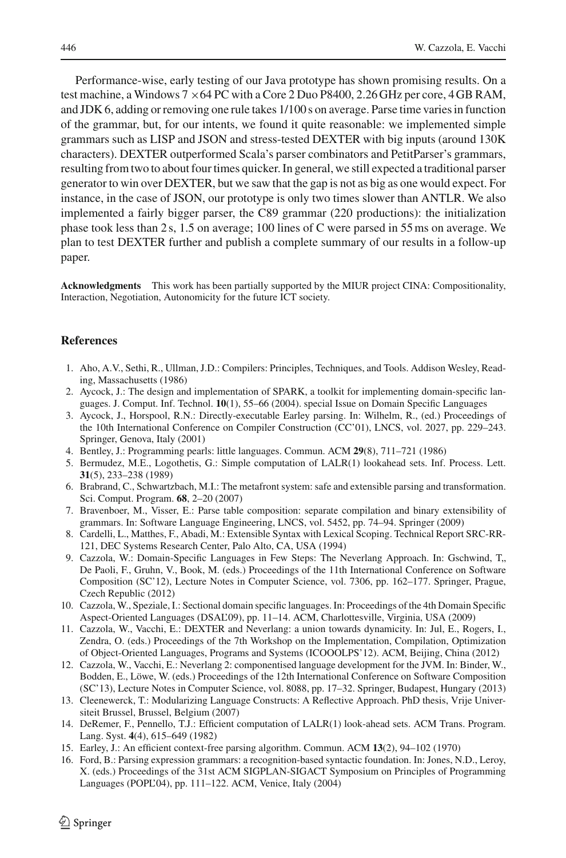Performance-wise, early testing of our Java prototype has shown promising results. On a test machine, a Windows  $7 \times 64$  PC with a Core 2 Duo P8400, 2.26 GHz per core, 4 GB RAM, and JDK 6, adding or removing one rule takes 1/100 s on average. Parse time varies in function of the grammar, but, for our intents, we found it quite reasonable: we implemented simple grammars such as LISP and JSON and stress-tested DEXTER with big inputs (around 130K characters). DEXTER outperformed Scala's parser combinators and PetitParser's grammars, resulting from two to about four times quicker. In general, we still expected a traditional parser generator to win over DEXTER, but we saw that the gap is not as big as one would expect. For instance, in the case of JSON, our prototype is only two times slower than ANTLR. We also implemented a fairly bigger parser, the C89 grammar (220 productions): the initialization phase took less than 2 s, 1.5 on average; 100 lines of C were parsed in 55ms on average. We plan to test DEXTER further and publish a complete summary of our results in a follow-up paper.

**Acknowledgments** This work has been partially supported by the MIUR project CINA: Compositionality, Interaction, Negotiation, Autonomicity for the future ICT society.

# <span id="page-27-13"></span>**References**

- 1. Aho, A.V., Sethi, R., Ullman, J.D.: Compilers: Principles, Techniques, and Tools. Addison Wesley, Reading, Massachusetts (1986)
- <span id="page-27-10"></span>2. Aycock, J.: The design and implementation of SPARK, a toolkit for implementing domain-specific languages. J. Comput. Inf. Technol. **10**(1), 55–66 (2004). special Issue on Domain Specific Languages
- <span id="page-27-11"></span>3. Aycock, J., Horspool, R.N.: Directly-executable Earley parsing. In: Wilhelm, R., (ed.) Proceedings of the 10th International Conference on Compiler Construction (CC'01), LNCS, vol. 2027, pp. 229–243. Springer, Genova, Italy (2001)
- <span id="page-27-0"></span>4. Bentley, J.: Programming pearls: little languages. Commun. ACM **29**(8), 711–721 (1986)
- <span id="page-27-14"></span>5. Bermudez, M.E., Logothetis, G.: Simple computation of LALR(1) lookahead sets. Inf. Process. Lett. **31**(5), 233–238 (1989)
- <span id="page-27-8"></span>6. Brabrand, C., Schwartzbach, M.I.: The metafront system: safe and extensible parsing and transformation. Sci. Comput. Program. **68**, 2–20 (2007)
- <span id="page-27-12"></span>7. Bravenboer, M., Visser, E.: Parse table composition: separate compilation and binary extensibility of grammars. In: Software Language Engineering, LNCS, vol. 5452, pp. 74–94. Springer (2009)
- <span id="page-27-7"></span>8. Cardelli, L., Matthes, F., Abadi, M.: Extensible Syntax with Lexical Scoping. Technical Report SRC-RR-121, DEC Systems Research Center, Palo Alto, CA, USA (1994)
- <span id="page-27-1"></span>9. Cazzola, W.: Domain-Specific Languages in Few Steps: The Neverlang Approach. In: Gschwind, T,, De Paoli, F., Gruhn, V., Book, M. (eds.) Proceedings of the 11th International Conference on Software Composition (SC'12), Lecture Notes in Computer Science, vol. 7306, pp. 162–177. Springer, Prague, Czech Republic (2012)
- <span id="page-27-2"></span>10. Cazzola, W., Speziale, I.: Sectional domain specific languages. In: Proceedings of the 4th Domain Specific Aspect-Oriented Languages (DSAL'09), pp. 11–14. ACM, Charlottesville, Virginia, USA (2009)
- <span id="page-27-3"></span>11. Cazzola, W., Vacchi, E.: DEXTER and Neverlang: a union towards dynamicity. In: Jul, E., Rogers, I., Zendra, O. (eds.) Proceedings of the 7th Workshop on the Implementation, Compilation, Optimization of Object-Oriented Languages, Programs and Systems (ICOOOLPS'12). ACM, Beijing, China (2012)
- <span id="page-27-4"></span>12. Cazzola, W., Vacchi, E.: Neverlang 2: componentised language development for the JVM. In: Binder, W., Bodden, E., Löwe, W. (eds.) Proceedings of the 12th International Conference on Software Composition (SC'13), Lecture Notes in Computer Science, vol. 8088, pp. 17–32. Springer, Budapest, Hungary (2013)
- <span id="page-27-5"></span>13. Cleenewerck, T.: Modularizing Language Constructs: A Reflective Approach. PhD thesis, Vrije Universiteit Brussel, Brussel, Belgium (2007)
- <span id="page-27-15"></span>14. DeRemer, F., Pennello, T.J.: Efficient computation of LALR(1) look-ahead sets. ACM Trans. Program. Lang. Syst. **4**(4), 615–649 (1982)
- <span id="page-27-9"></span>15. Earley, J.: An efficient context-free parsing algorithm. Commun. ACM **13**(2), 94–102 (1970)
- <span id="page-27-6"></span>16. Ford, B.: Parsing expression grammars: a recognition-based syntactic foundation. In: Jones, N.D., Leroy, X. (eds.) Proceedings of the 31st ACM SIGPLAN-SIGACT Symposium on Principles of Programming Languages (POPL'04), pp. 111–122. ACM, Venice, Italy (2004)